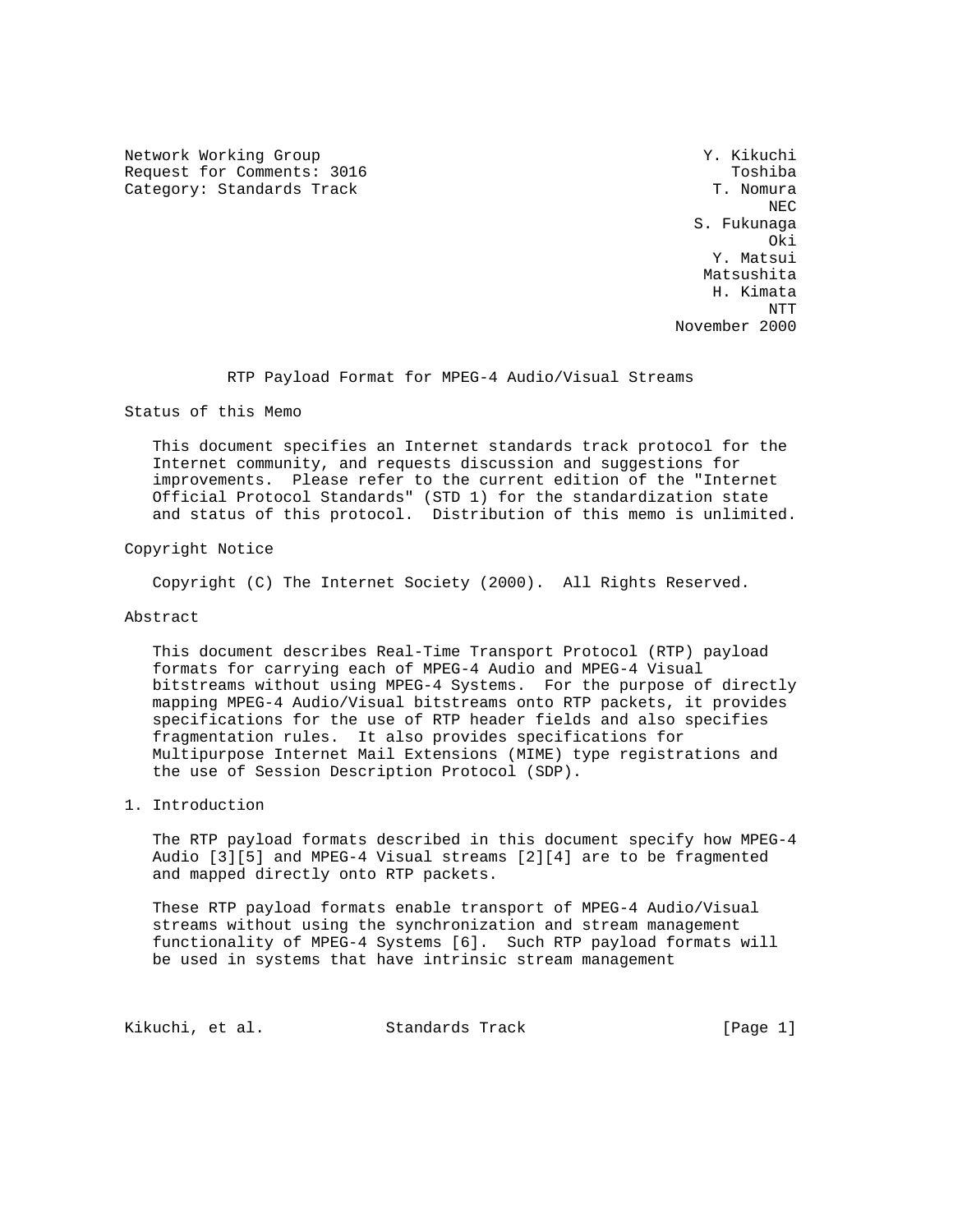Network Working Group 30 November 2012 1999 Network Working Group Request for Comments: 3016 Toshiba Category: Standards Track T. Nomura

NECTRIC INTENSITY OF REAL PROPERTY AND REAL PROPERTY OF REAL PROPERTY. S. Fukunaga **Oki** Distribution of the contract of the contract of the contract of the contract of the contract of the contract of the contract of the contract of the contract of the contract of the contract of the contract of the cont Y. Matsui Matsushita H. Kimata NTT November 2000

RTP Payload Format for MPEG-4 Audio/Visual Streams

Status of this Memo

 This document specifies an Internet standards track protocol for the Internet community, and requests discussion and suggestions for improvements. Please refer to the current edition of the "Internet Official Protocol Standards" (STD 1) for the standardization state and status of this protocol. Distribution of this memo is unlimited.

Copyright Notice

Copyright (C) The Internet Society (2000). All Rights Reserved.

### Abstract

 This document describes Real-Time Transport Protocol (RTP) payload formats for carrying each of MPEG-4 Audio and MPEG-4 Visual bitstreams without using MPEG-4 Systems. For the purpose of directly mapping MPEG-4 Audio/Visual bitstreams onto RTP packets, it provides specifications for the use of RTP header fields and also specifies fragmentation rules. It also provides specifications for Multipurpose Internet Mail Extensions (MIME) type registrations and the use of Session Description Protocol (SDP).

1. Introduction

 The RTP payload formats described in this document specify how MPEG-4 Audio [3][5] and MPEG-4 Visual streams [2][4] are to be fragmented and mapped directly onto RTP packets.

 These RTP payload formats enable transport of MPEG-4 Audio/Visual streams without using the synchronization and stream management functionality of MPEG-4 Systems [6]. Such RTP payload formats will be used in systems that have intrinsic stream management

Kikuchi, et al. Standards Track [Page 1]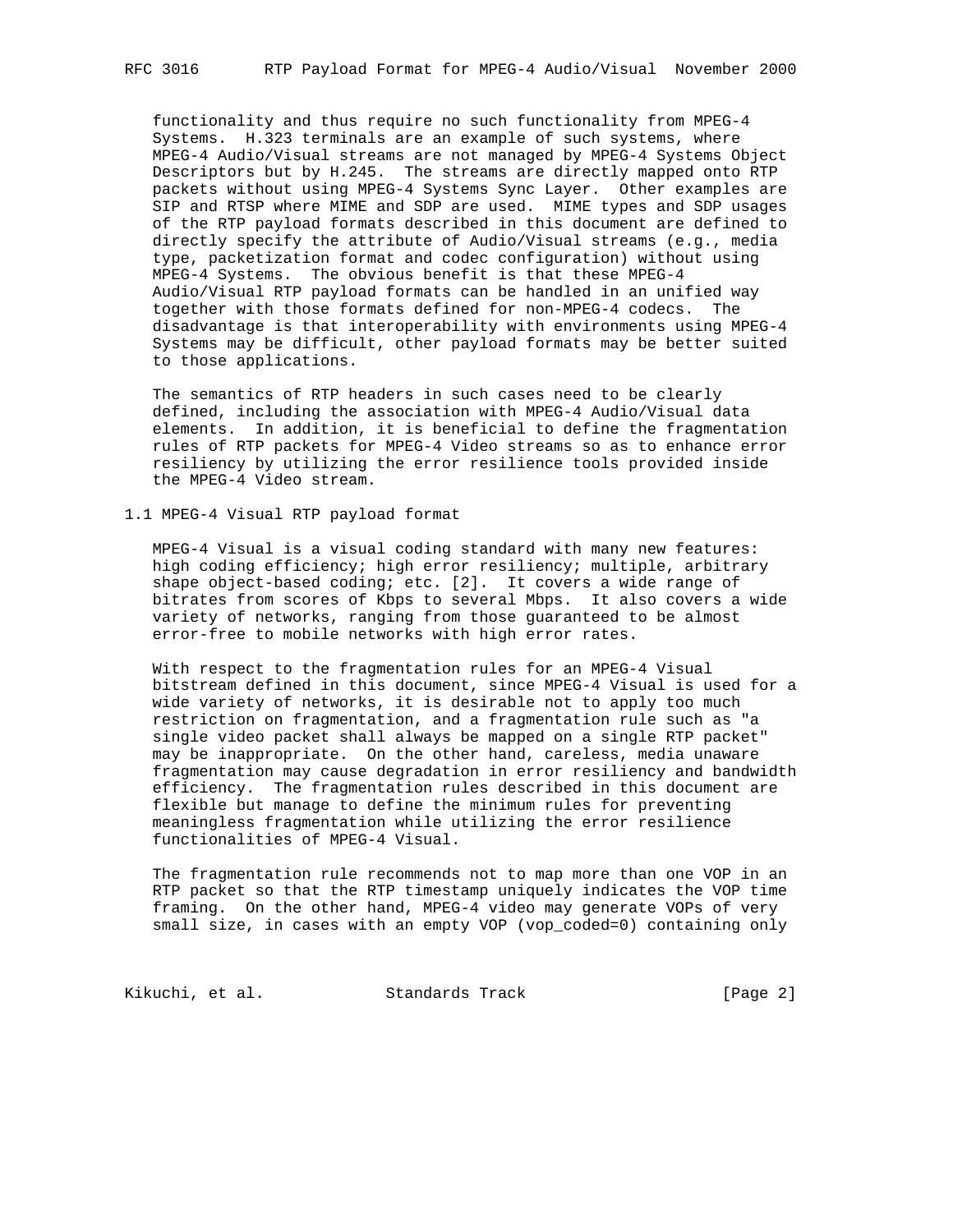functionality and thus require no such functionality from MPEG-4 Systems. H.323 terminals are an example of such systems, where MPEG-4 Audio/Visual streams are not managed by MPEG-4 Systems Object Descriptors but by H.245. The streams are directly mapped onto RTP packets without using MPEG-4 Systems Sync Layer. Other examples are SIP and RTSP where MIME and SDP are used. MIME types and SDP usages of the RTP payload formats described in this document are defined to directly specify the attribute of Audio/Visual streams (e.g., media type, packetization format and codec configuration) without using MPEG-4 Systems. The obvious benefit is that these MPEG-4 Audio/Visual RTP payload formats can be handled in an unified way together with those formats defined for non-MPEG-4 codecs. The disadvantage is that interoperability with environments using MPEG-4 Systems may be difficult, other payload formats may be better suited to those applications.

 The semantics of RTP headers in such cases need to be clearly defined, including the association with MPEG-4 Audio/Visual data elements. In addition, it is beneficial to define the fragmentation rules of RTP packets for MPEG-4 Video streams so as to enhance error resiliency by utilizing the error resilience tools provided inside the MPEG-4 Video stream.

1.1 MPEG-4 Visual RTP payload format

 MPEG-4 Visual is a visual coding standard with many new features: high coding efficiency; high error resiliency; multiple, arbitrary shape object-based coding; etc. [2]. It covers a wide range of bitrates from scores of Kbps to several Mbps. It also covers a wide variety of networks, ranging from those guaranteed to be almost error-free to mobile networks with high error rates.

 With respect to the fragmentation rules for an MPEG-4 Visual bitstream defined in this document, since MPEG-4 Visual is used for a wide variety of networks, it is desirable not to apply too much restriction on fragmentation, and a fragmentation rule such as "a single video packet shall always be mapped on a single RTP packet" may be inappropriate. On the other hand, careless, media unaware fragmentation may cause degradation in error resiliency and bandwidth efficiency. The fragmentation rules described in this document are flexible but manage to define the minimum rules for preventing meaningless fragmentation while utilizing the error resilience functionalities of MPEG-4 Visual.

 The fragmentation rule recommends not to map more than one VOP in an RTP packet so that the RTP timestamp uniquely indicates the VOP time framing. On the other hand, MPEG-4 video may generate VOPs of very small size, in cases with an empty VOP (vop\_coded=0) containing only

Kikuchi, et al. Standards Track [Page 2]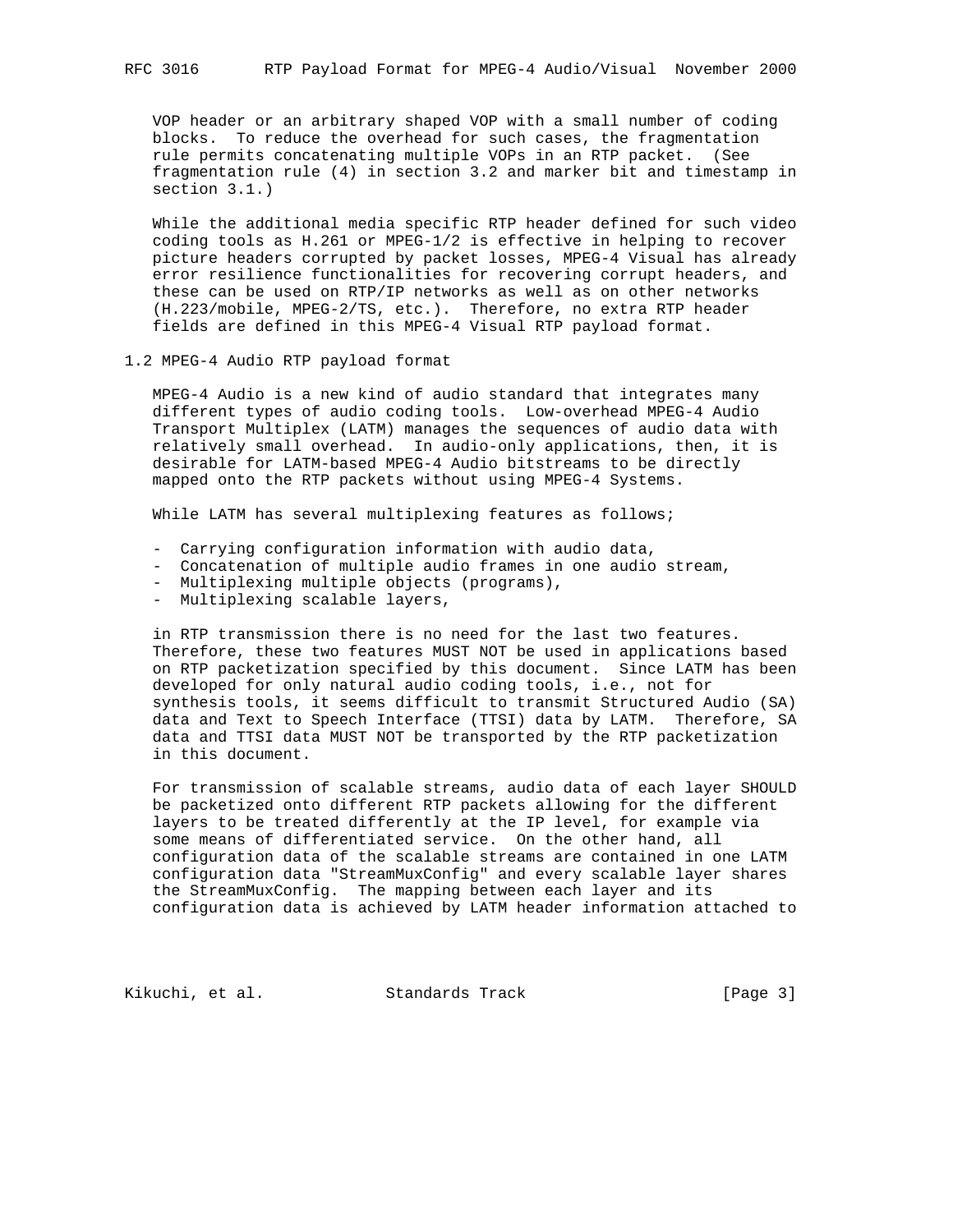VOP header or an arbitrary shaped VOP with a small number of coding blocks. To reduce the overhead for such cases, the fragmentation rule permits concatenating multiple VOPs in an RTP packet. (See fragmentation rule (4) in section 3.2 and marker bit and timestamp in section 3.1.)

 While the additional media specific RTP header defined for such video coding tools as H.261 or MPEG-1/2 is effective in helping to recover picture headers corrupted by packet losses, MPEG-4 Visual has already error resilience functionalities for recovering corrupt headers, and these can be used on RTP/IP networks as well as on other networks (H.223/mobile, MPEG-2/TS, etc.). Therefore, no extra RTP header fields are defined in this MPEG-4 Visual RTP payload format.

1.2 MPEG-4 Audio RTP payload format

 MPEG-4 Audio is a new kind of audio standard that integrates many different types of audio coding tools. Low-overhead MPEG-4 Audio Transport Multiplex (LATM) manages the sequences of audio data with relatively small overhead. In audio-only applications, then, it is desirable for LATM-based MPEG-4 Audio bitstreams to be directly mapped onto the RTP packets without using MPEG-4 Systems.

While LATM has several multiplexing features as follows;

- Carrying configuration information with audio data,
- Concatenation of multiple audio frames in one audio stream,
- Multiplexing multiple objects (programs),
- Multiplexing scalable layers,

 in RTP transmission there is no need for the last two features. Therefore, these two features MUST NOT be used in applications based on RTP packetization specified by this document. Since LATM has been developed for only natural audio coding tools, i.e., not for synthesis tools, it seems difficult to transmit Structured Audio (SA) data and Text to Speech Interface (TTSI) data by LATM. Therefore, SA data and TTSI data MUST NOT be transported by the RTP packetization in this document.

 For transmission of scalable streams, audio data of each layer SHOULD be packetized onto different RTP packets allowing for the different layers to be treated differently at the IP level, for example via some means of differentiated service. On the other hand, all configuration data of the scalable streams are contained in one LATM configuration data "StreamMuxConfig" and every scalable layer shares the StreamMuxConfig. The mapping between each layer and its configuration data is achieved by LATM header information attached to

Kikuchi, et al. Standards Track [Page 3]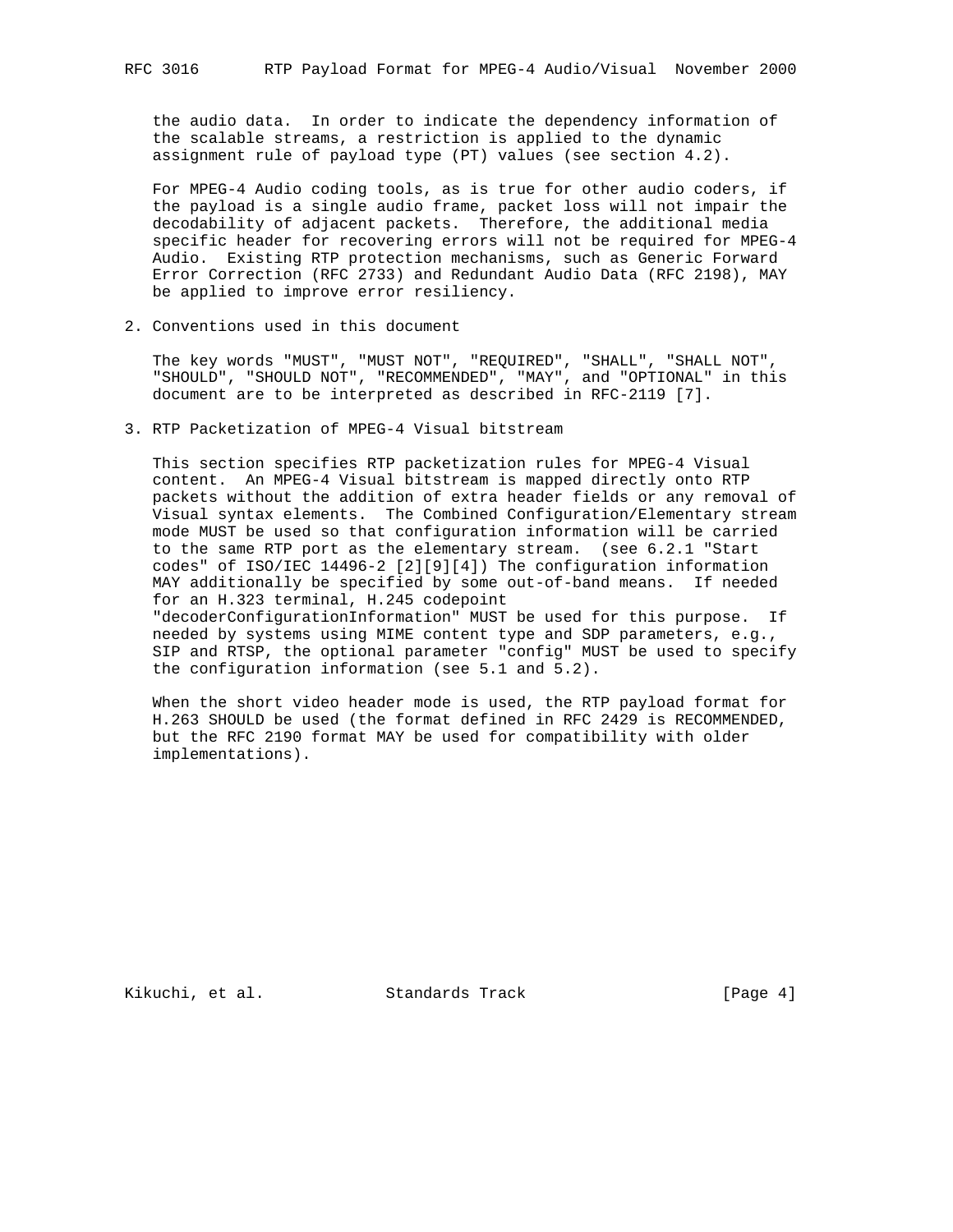the audio data. In order to indicate the dependency information of the scalable streams, a restriction is applied to the dynamic assignment rule of payload type (PT) values (see section 4.2).

 For MPEG-4 Audio coding tools, as is true for other audio coders, if the payload is a single audio frame, packet loss will not impair the decodability of adjacent packets. Therefore, the additional media specific header for recovering errors will not be required for MPEG-4 Audio. Existing RTP protection mechanisms, such as Generic Forward Error Correction (RFC 2733) and Redundant Audio Data (RFC 2198), MAY be applied to improve error resiliency.

2. Conventions used in this document

 The key words "MUST", "MUST NOT", "REQUIRED", "SHALL", "SHALL NOT", "SHOULD", "SHOULD NOT", "RECOMMENDED", "MAY", and "OPTIONAL" in this document are to be interpreted as described in RFC-2119 [7].

3. RTP Packetization of MPEG-4 Visual bitstream

 This section specifies RTP packetization rules for MPEG-4 Visual content. An MPEG-4 Visual bitstream is mapped directly onto RTP packets without the addition of extra header fields or any removal of Visual syntax elements. The Combined Configuration/Elementary stream mode MUST be used so that configuration information will be carried to the same RTP port as the elementary stream. (see 6.2.1 "Start codes" of ISO/IEC 14496-2 [2][9][4]) The configuration information MAY additionally be specified by some out-of-band means. If needed for an H.323 terminal, H.245 codepoint "decoderConfigurationInformation" MUST be used for this purpose. If needed by systems using MIME content type and SDP parameters, e.g., SIP and RTSP, the optional parameter "config" MUST be used to specify the configuration information (see 5.1 and 5.2).

 When the short video header mode is used, the RTP payload format for H.263 SHOULD be used (the format defined in RFC 2429 is RECOMMENDED, but the RFC 2190 format MAY be used for compatibility with older implementations).

Kikuchi, et al. Standards Track [Page 4]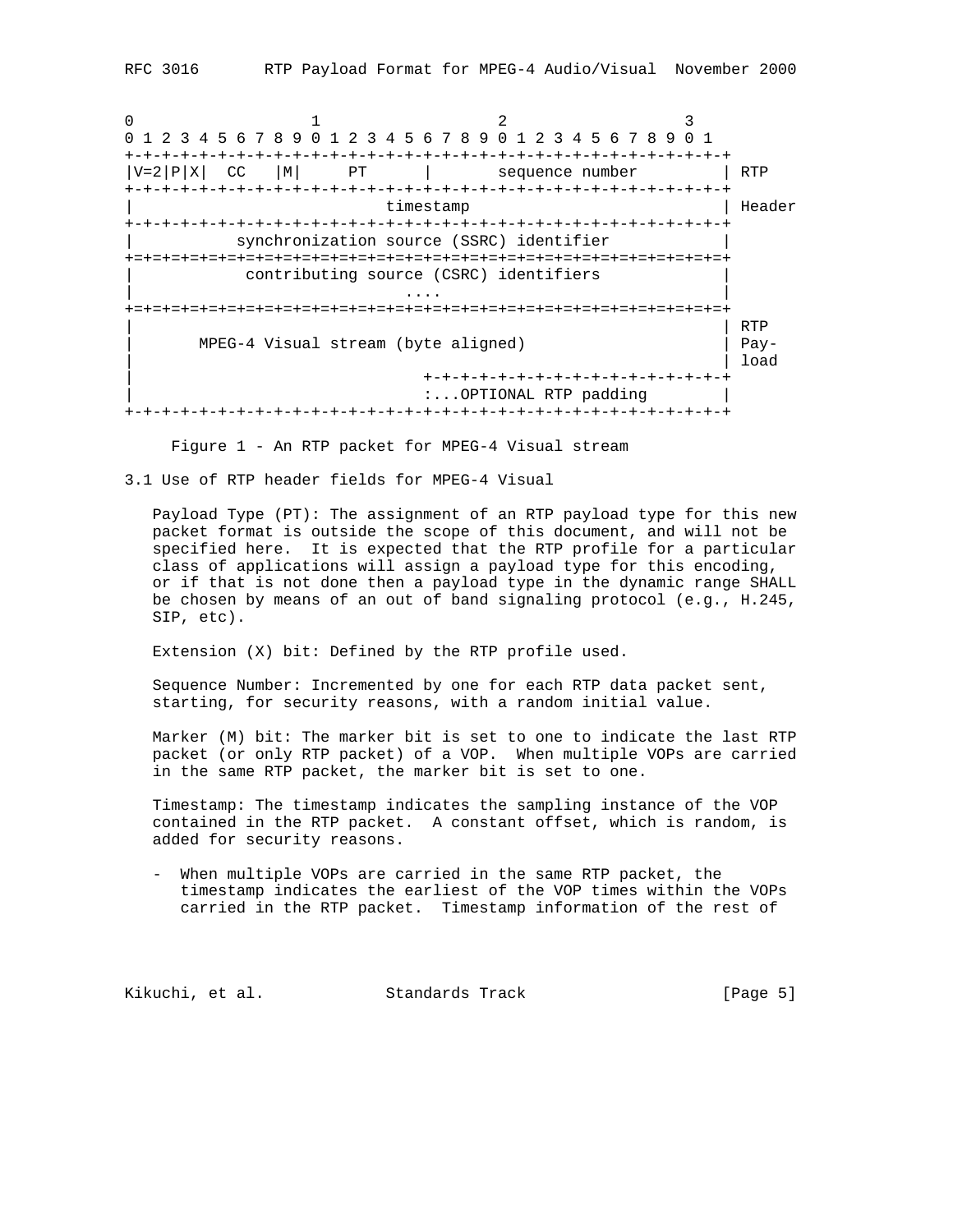0  $1$   $2$   $3$ 0 1 2 3 4 5 6 7 8 9 0 1 2 3 4 5 6 7 8 9 0 1 2 3 4 5 6 7 8 9 0 1 +-+-+-+-+-+-+-+-+-+-+-+-+-+-+-+-+-+-+-+-+-+-+-+-+-+-+-+-+-+-+-+-+  $|V=2|P|X|$  CC  $|M|$  PT  $|$  sequence number  $|$  RTP +-+-+-+-+-+-+-+-+-+-+-+-+-+-+-+-+-+-+-+-+-+-+-+-+-+-+-+-+-+-+-+-+ timestamp | Header +-+-+-+-+-+-+-+-+-+-+-+-+-+-+-+-+-+-+-+-+-+-+-+-+-+-+-+-+-+-+-+-+ synchronization source (SSRC) identifier +=+=+=+=+=+=+=+=+=+=+=+=+=+=+=+=+=+=+=+=+=+=+=+=+=+=+=+=+=+=+=+=+ contributing source (CSRC) identifiers | .... | ... | ... | ... | ... | ... | ... | ... | ... | ... | ... | ... | ... | ... | ... | ... | ... | ... | +=+=+=+=+=+=+=+=+=+=+=+=+=+=+=+=+=+=+=+=+=+=+=+=+=+=+=+=+=+=+=+=+ | | RTP | MPEG-4 Visual stream (byte aligned) | Pay- | | load | +-+-+-+-+-+-+-+-+-+-+-+-+-+-+-+-+ :...OPTIONAL RTP padding | +-+-+-+-+-+-+-+-+-+-+-+-+-+-+-+-+-+-+-+-+-+-+-+-+-+-+-+-+-+-+-+-+

Figure 1 - An RTP packet for MPEG-4 Visual stream

3.1 Use of RTP header fields for MPEG-4 Visual

 Payload Type (PT): The assignment of an RTP payload type for this new packet format is outside the scope of this document, and will not be specified here. It is expected that the RTP profile for a particular class of applications will assign a payload type for this encoding, or if that is not done then a payload type in the dynamic range SHALL be chosen by means of an out of band signaling protocol (e.g., H.245, SIP, etc).

Extension (X) bit: Defined by the RTP profile used.

 Sequence Number: Incremented by one for each RTP data packet sent, starting, for security reasons, with a random initial value.

 Marker (M) bit: The marker bit is set to one to indicate the last RTP packet (or only RTP packet) of a VOP. When multiple VOPs are carried in the same RTP packet, the marker bit is set to one.

 Timestamp: The timestamp indicates the sampling instance of the VOP contained in the RTP packet. A constant offset, which is random, is added for security reasons.

 - When multiple VOPs are carried in the same RTP packet, the timestamp indicates the earliest of the VOP times within the VOPs carried in the RTP packet. Timestamp information of the rest of

Kikuchi, et al. Standards Track [Page 5]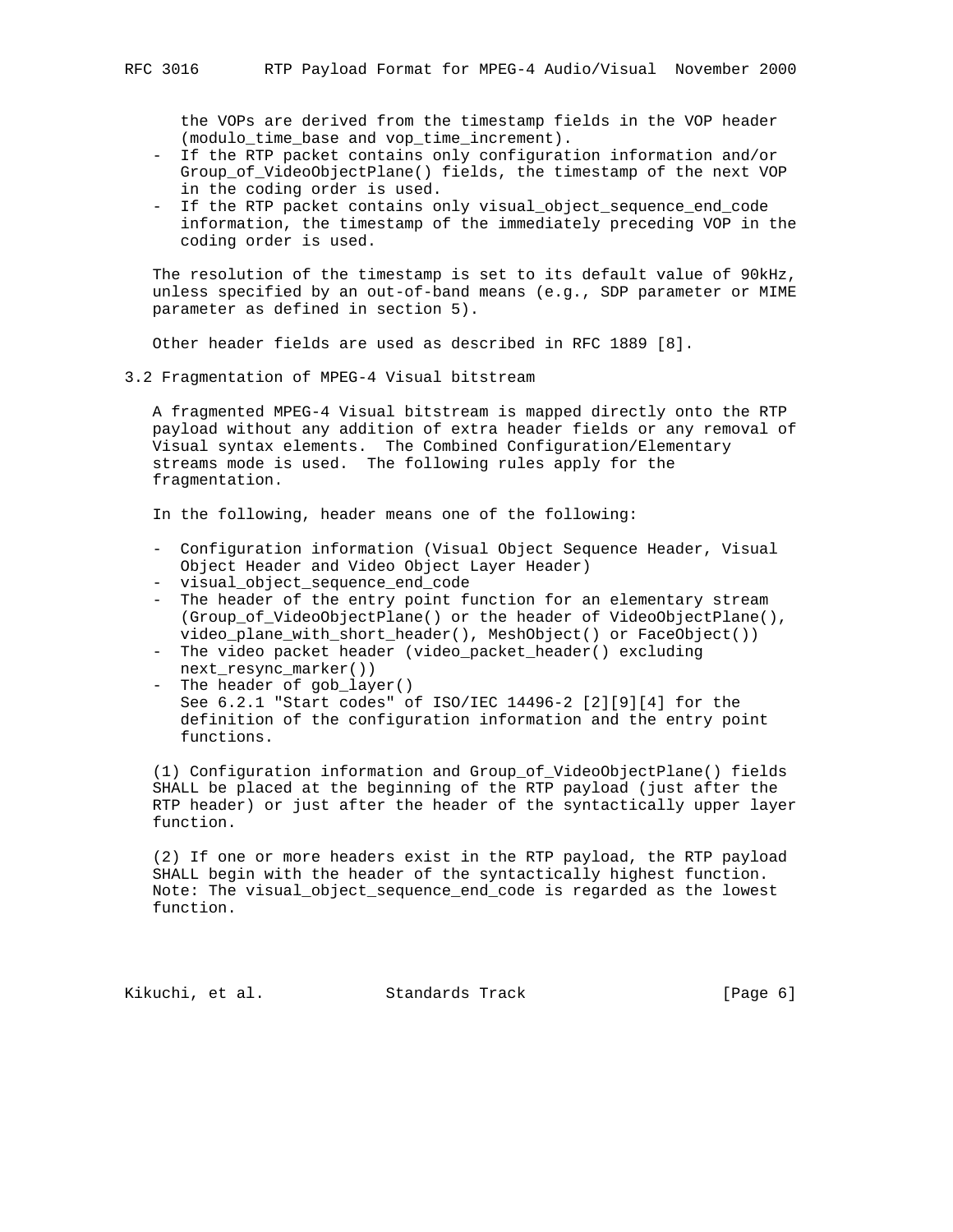the VOPs are derived from the timestamp fields in the VOP header (modulo\_time\_base and vop\_time\_increment).

- If the RTP packet contains only configuration information and/or Group\_of\_VideoObjectPlane() fields, the timestamp of the next VOP in the coding order is used.
- If the RTP packet contains only visual\_object\_sequence\_end\_code information, the timestamp of the immediately preceding VOP in the coding order is used.

 The resolution of the timestamp is set to its default value of 90kHz, unless specified by an out-of-band means (e.g., SDP parameter or MIME parameter as defined in section 5).

Other header fields are used as described in RFC 1889 [8].

3.2 Fragmentation of MPEG-4 Visual bitstream

 A fragmented MPEG-4 Visual bitstream is mapped directly onto the RTP payload without any addition of extra header fields or any removal of Visual syntax elements. The Combined Configuration/Elementary streams mode is used. The following rules apply for the fragmentation.

In the following, header means one of the following:

- Configuration information (Visual Object Sequence Header, Visual Object Header and Video Object Layer Header)
- visual\_object\_sequence\_end\_code
- The header of the entry point function for an elementary stream (Group\_of\_VideoObjectPlane() or the header of VideoObjectPlane(), video\_plane\_with\_short\_header(), MeshObject() or FaceObject())
- The video packet header (video\_packet\_header() excluding next\_resync\_marker())
- The header of gob layer() See 6.2.1 "Start codes" of ISO/IEC 14496-2 [2][9][4] for the definition of the configuration information and the entry point functions.

 (1) Configuration information and Group\_of\_VideoObjectPlane() fields SHALL be placed at the beginning of the RTP payload (just after the RTP header) or just after the header of the syntactically upper layer function.

 (2) If one or more headers exist in the RTP payload, the RTP payload SHALL begin with the header of the syntactically highest function. Note: The visual\_object\_sequence\_end\_code is regarded as the lowest function.

Kikuchi, et al. Standards Track [Page 6]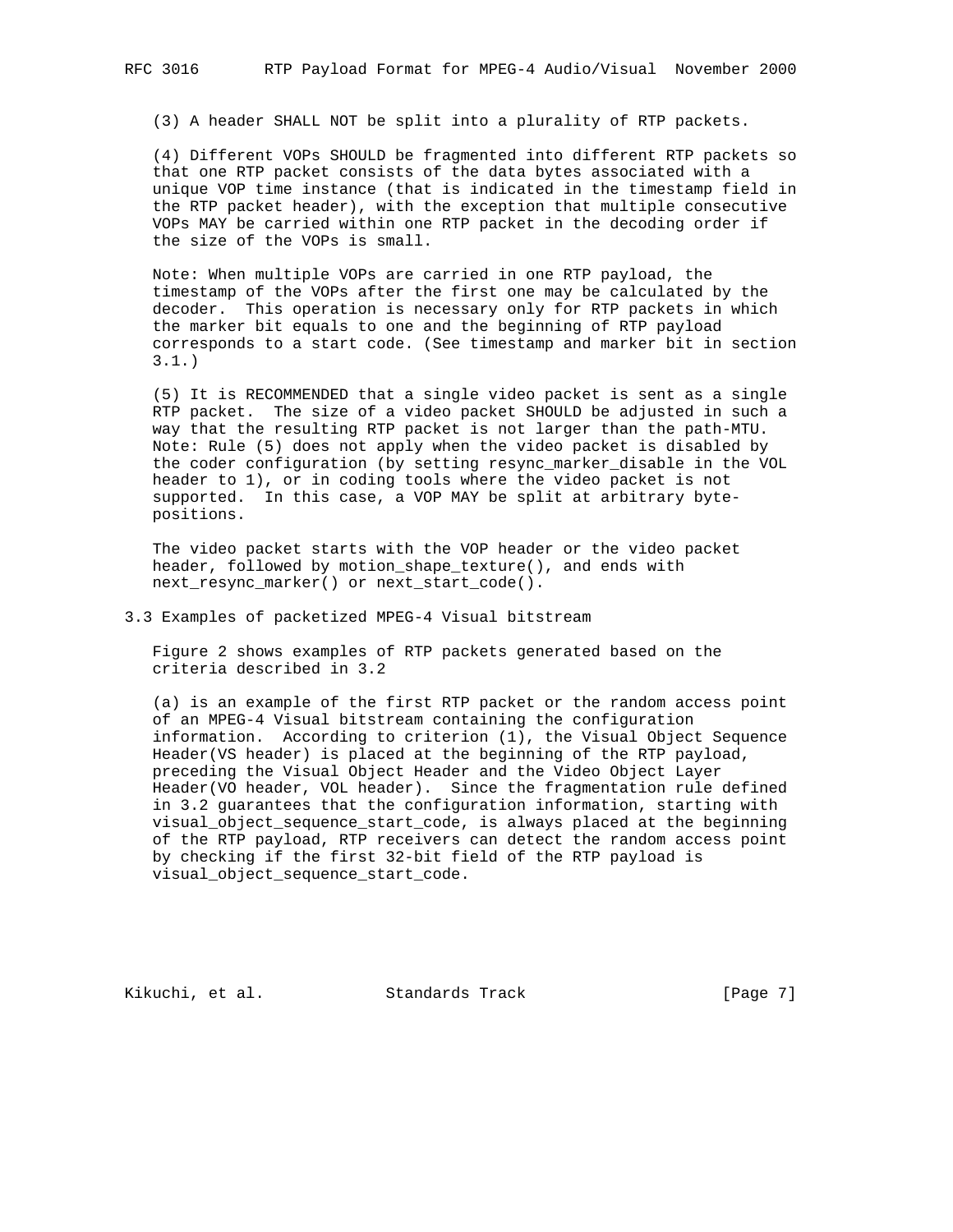(3) A header SHALL NOT be split into a plurality of RTP packets.

 (4) Different VOPs SHOULD be fragmented into different RTP packets so that one RTP packet consists of the data bytes associated with a unique VOP time instance (that is indicated in the timestamp field in the RTP packet header), with the exception that multiple consecutive VOPs MAY be carried within one RTP packet in the decoding order if the size of the VOPs is small.

 Note: When multiple VOPs are carried in one RTP payload, the timestamp of the VOPs after the first one may be calculated by the decoder. This operation is necessary only for RTP packets in which the marker bit equals to one and the beginning of RTP payload corresponds to a start code. (See timestamp and marker bit in section 3.1.)

 (5) It is RECOMMENDED that a single video packet is sent as a single RTP packet. The size of a video packet SHOULD be adjusted in such a way that the resulting RTP packet is not larger than the path-MTU. Note: Rule (5) does not apply when the video packet is disabled by the coder configuration (by setting resync\_marker\_disable in the VOL header to 1), or in coding tools where the video packet is not supported. In this case, a VOP MAY be split at arbitrary byte positions.

 The video packet starts with the VOP header or the video packet header, followed by motion\_shape\_texture(), and ends with next resync marker() or next start code().

3.3 Examples of packetized MPEG-4 Visual bitstream

 Figure 2 shows examples of RTP packets generated based on the criteria described in 3.2

 (a) is an example of the first RTP packet or the random access point of an MPEG-4 Visual bitstream containing the configuration information. According to criterion (1), the Visual Object Sequence Header(VS header) is placed at the beginning of the RTP payload, preceding the Visual Object Header and the Video Object Layer Header(VO header, VOL header). Since the fragmentation rule defined in 3.2 guarantees that the configuration information, starting with visual\_object\_sequence\_start\_code, is always placed at the beginning of the RTP payload, RTP receivers can detect the random access point by checking if the first 32-bit field of the RTP payload is visual\_object\_sequence\_start\_code.

Kikuchi, et al. Standards Track [Page 7]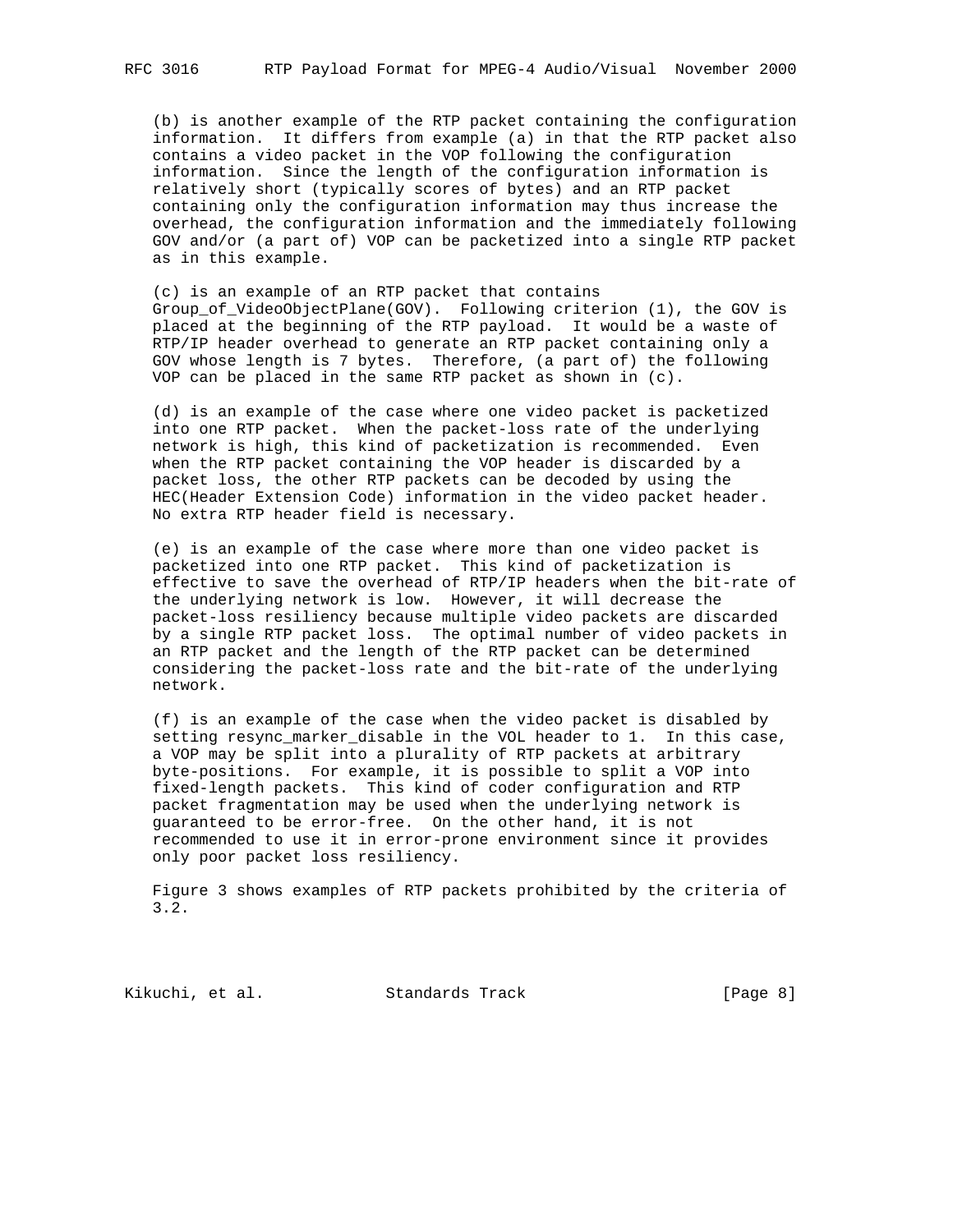(b) is another example of the RTP packet containing the configuration information. It differs from example (a) in that the RTP packet also contains a video packet in the VOP following the configuration information. Since the length of the configuration information is relatively short (typically scores of bytes) and an RTP packet containing only the configuration information may thus increase the overhead, the configuration information and the immediately following GOV and/or (a part of) VOP can be packetized into a single RTP packet as in this example.

 (c) is an example of an RTP packet that contains Group\_of\_VideoObjectPlane(GOV). Following criterion (1), the GOV is placed at the beginning of the RTP payload. It would be a waste of RTP/IP header overhead to generate an RTP packet containing only a GOV whose length is 7 bytes. Therefore, (a part of) the following VOP can be placed in the same RTP packet as shown in (c).

 (d) is an example of the case where one video packet is packetized into one RTP packet. When the packet-loss rate of the underlying network is high, this kind of packetization is recommended. Even when the RTP packet containing the VOP header is discarded by a packet loss, the other RTP packets can be decoded by using the HEC(Header Extension Code) information in the video packet header. No extra RTP header field is necessary.

 (e) is an example of the case where more than one video packet is packetized into one RTP packet. This kind of packetization is effective to save the overhead of RTP/IP headers when the bit-rate of the underlying network is low. However, it will decrease the packet-loss resiliency because multiple video packets are discarded by a single RTP packet loss. The optimal number of video packets in an RTP packet and the length of the RTP packet can be determined considering the packet-loss rate and the bit-rate of the underlying network.

 (f) is an example of the case when the video packet is disabled by setting resync\_marker\_disable in the VOL header to 1. In this case, a VOP may be split into a plurality of RTP packets at arbitrary byte-positions. For example, it is possible to split a VOP into fixed-length packets. This kind of coder configuration and RTP packet fragmentation may be used when the underlying network is guaranteed to be error-free. On the other hand, it is not recommended to use it in error-prone environment since it provides only poor packet loss resiliency.

 Figure 3 shows examples of RTP packets prohibited by the criteria of 3.2.

Kikuchi, et al. Standards Track [Page 8]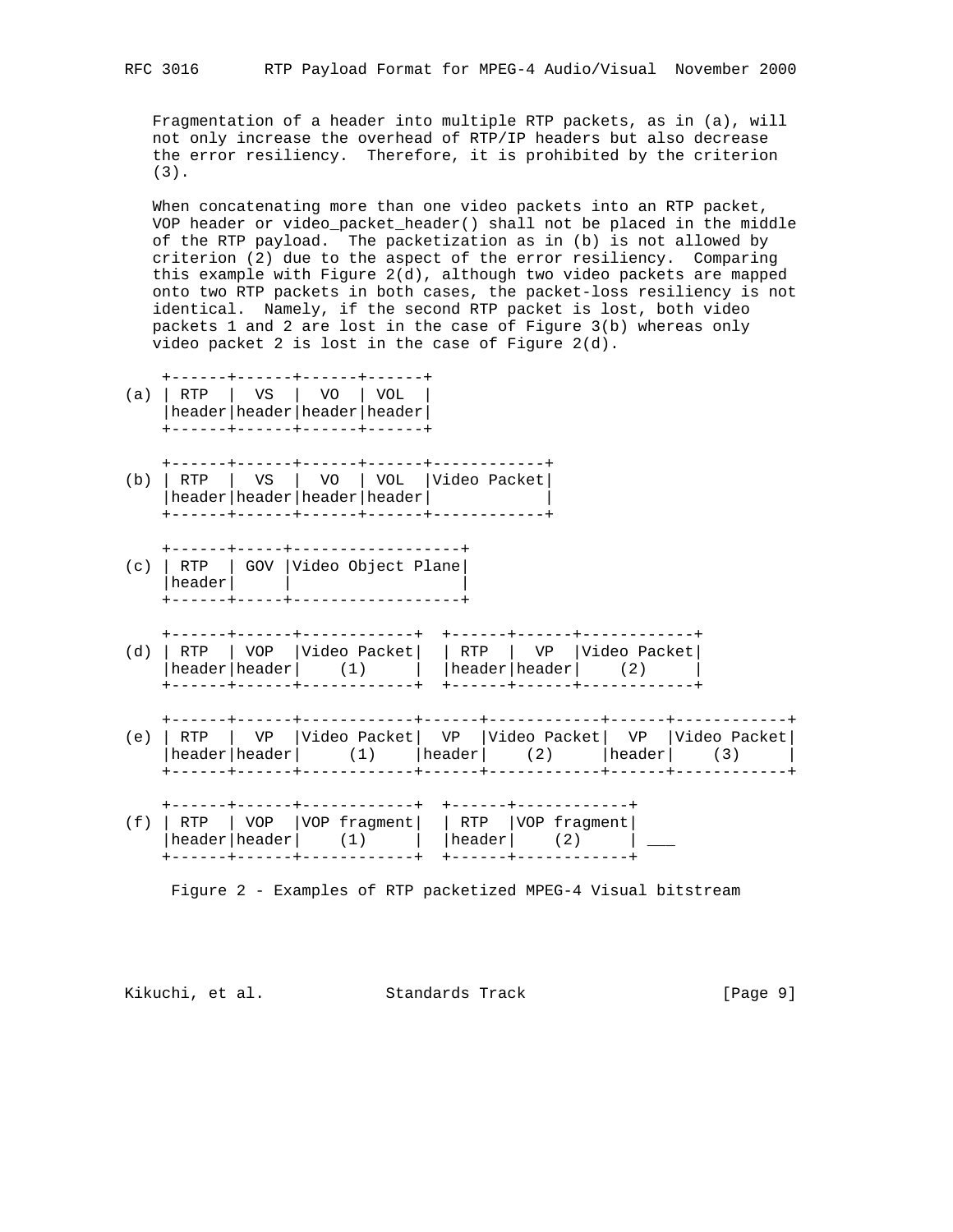Fragmentation of a header into multiple RTP packets, as in (a), will not only increase the overhead of RTP/IP headers but also decrease the error resiliency. Therefore, it is prohibited by the criterion (3).

 When concatenating more than one video packets into an RTP packet, VOP header or video\_packet\_header() shall not be placed in the middle of the RTP payload. The packetization as in (b) is not allowed by criterion (2) due to the aspect of the error resiliency. Comparing this example with Figure 2(d), although two video packets are mapped onto two RTP packets in both cases, the packet-loss resiliency is not identical. Namely, if the second RTP packet is lost, both video packets 1 and 2 are lost in the case of Figure 3(b) whereas only video packet 2 is lost in the case of Figure 2(d).

| (a) | RTP    | VS   VO   VOL<br>header   header   header   header                                                                                            |                         |                    |  |                      |                                                                                                                    |        |  |
|-----|--------|-----------------------------------------------------------------------------------------------------------------------------------------------|-------------------------|--------------------|--|----------------------|--------------------------------------------------------------------------------------------------------------------|--------|--|
| (b) | RTP    | l VS<br>header   header   header   header                                                                                                     | l vo                    | VOL   Video Packet |  |                      |                                                                                                                    |        |  |
| (c) | header | RTP   GOV  Video Object Plane                                                                                                                 | _______________________ |                    |  |                      |                                                                                                                    |        |  |
|     |        | -----+------+-----------+<br>$\text{header} \text{header} $ (1) $ \text{header} \text{header} $ (2)                                           |                         |                    |  |                      | +------+------+------------+<br>(d) RTP   VOP   Video Packet   RTP   VP   Video Packet                             |        |  |
| (e) | RTP    |                                                                                                                                               |                         |                    |  |                      | VP  Video Packet  VP  Video Packet  VP  Video Packet <br>header   header   $(1)$   header   $(2)$   header   $(3)$ | ------ |  |
| (f) |        | -----+------+------------+<br>RTP   VOP   VOP fragment   RTP   VOP fragment  <br>$\text{header} \text{header} $ $(1)$ $ \text{header} $ $(2)$ |                         | -----------+       |  | +------+-----------+ |                                                                                                                    |        |  |

Figure 2 - Examples of RTP packetized MPEG-4 Visual bitstream

Kikuchi, et al. Standards Track [Page 9]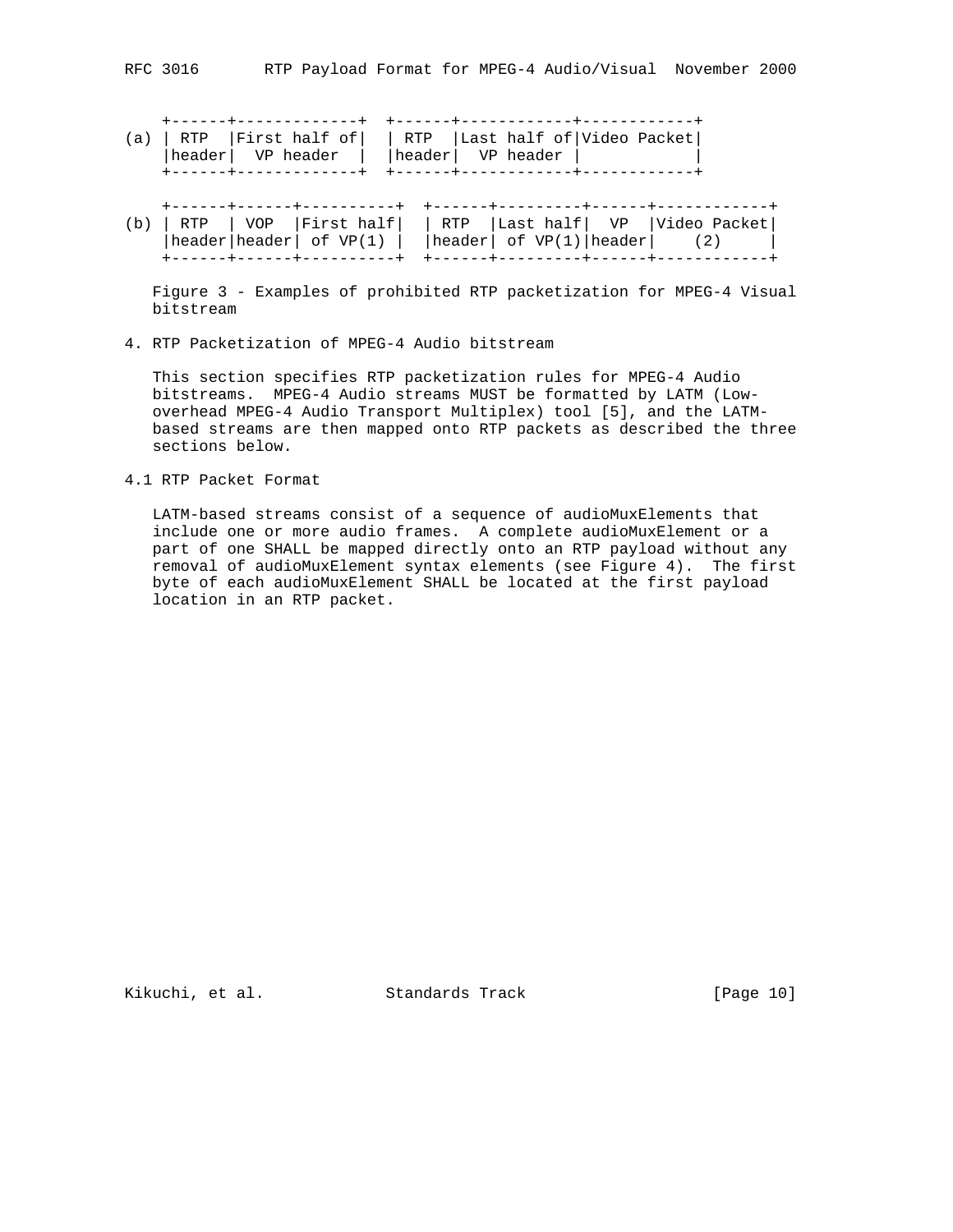|  |                      | (a)   RTP   First half of     RTP   Last half of   Video Packet  <br> header  VP header    header  VP header |  |  |
|--|----------------------|--------------------------------------------------------------------------------------------------------------|--|--|
|  | ------+------------+ | +------+------------+-----------                                                                             |  |  |

(b) | RTP | VOP |First half| | RTP |Last half| VP |Video Packet|  $|header| header| of VP(1) | header| of VP(1) | header| of VP(1)$ +------+------+----------+ +------+---------+------+------------+

 Figure 3 - Examples of prohibited RTP packetization for MPEG-4 Visual bitstream

4. RTP Packetization of MPEG-4 Audio bitstream

 This section specifies RTP packetization rules for MPEG-4 Audio bitstreams. MPEG-4 Audio streams MUST be formatted by LATM (Low overhead MPEG-4 Audio Transport Multiplex) tool [5], and the LATM based streams are then mapped onto RTP packets as described the three sections below.

4.1 RTP Packet Format

 LATM-based streams consist of a sequence of audioMuxElements that include one or more audio frames. A complete audioMuxElement or a part of one SHALL be mapped directly onto an RTP payload without any removal of audioMuxElement syntax elements (see Figure 4). The first byte of each audioMuxElement SHALL be located at the first payload location in an RTP packet.

Kikuchi, et al. Standards Track [Page 10]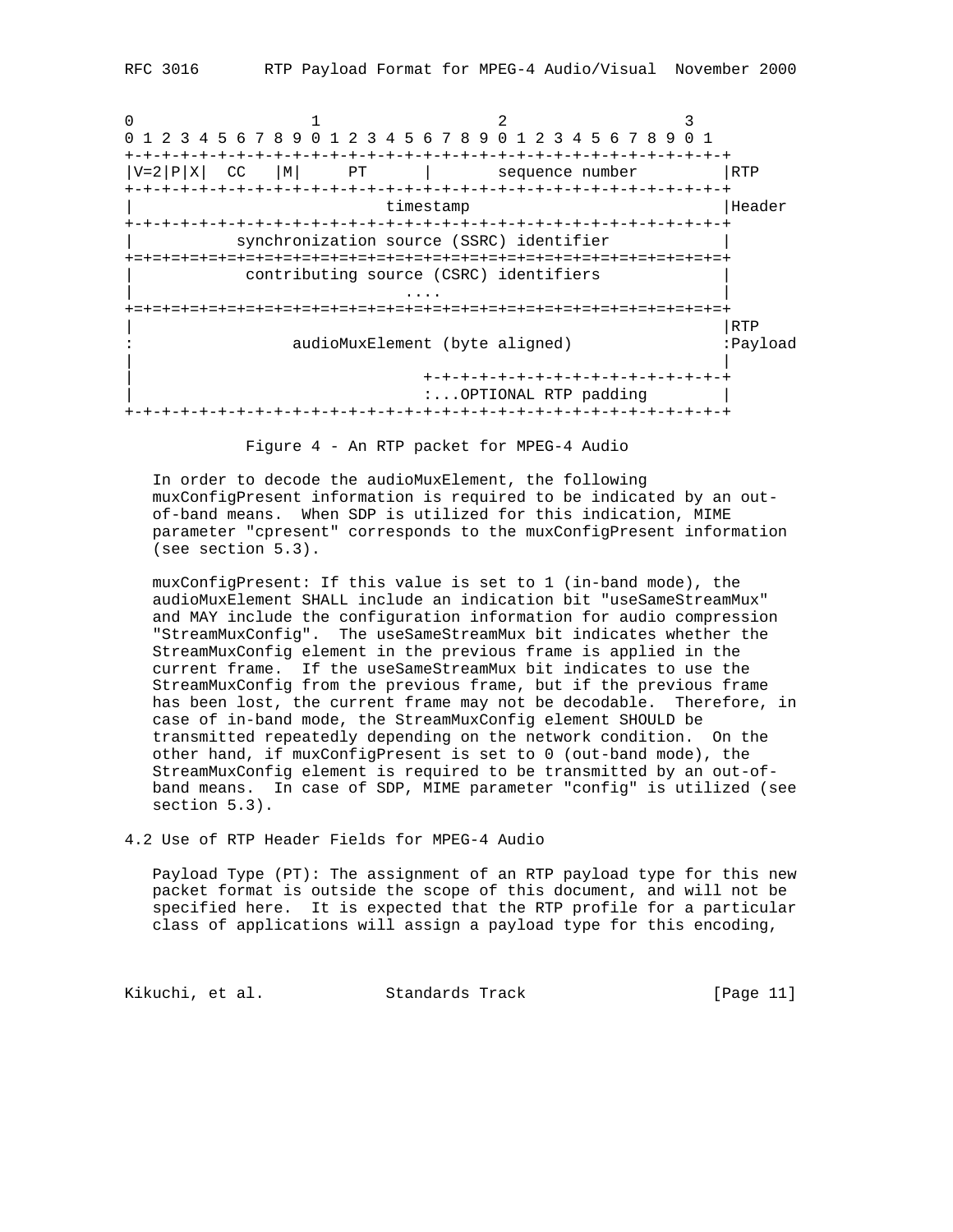0  $1$   $2$   $3$ 0 1 2 3 4 5 6 7 8 9 0 1 2 3 4 5 6 7 8 9 0 1 2 3 4 5 6 7 8 9 0 1 +-+-+-+-+-+-+-+-+-+-+-+-+-+-+-+-+-+-+-+-+-+-+-+-+-+-+-+-+-+-+-+-+  $|V=2|P|X|$  CC  $|M|$  PT  $|$  sequence number  $|RTP|$ +-+-+-+-+-+-+-+-+-+-+-+-+-+-+-+-+-+-+-+-+-+-+-+-+-+-+-+-+-+-+-+-+ timestamp  $|$ Header +-+-+-+-+-+-+-+-+-+-+-+-+-+-+-+-+-+-+-+-+-+-+-+-+-+-+-+-+-+-+-+-+ synchronization source (SSRC) identifier +=+=+=+=+=+=+=+=+=+=+=+=+=+=+=+=+=+=+=+=+=+=+=+=+=+=+=+=+=+=+=+=+ contributing source (CSRC) identifiers | .... | ... | ... | ... | ... | ... | ... | ... | ... | ... | ... | ... | ... | ... | ... | ... | ... | ... | +=+=+=+=+=+=+=+=+=+=+=+=+=+=+=+=+=+=+=+=+=+=+=+=+=+=+=+=+=+=+=+=+ | |RTP : audioMuxElement (byte aligned) :Payload | | | +-+-+-+-+-+-+-+-+-+-+-+-+-+-+-+-+ :...OPTIONAL RTP padding | +-+-+-+-+-+-+-+-+-+-+-+-+-+-+-+-+-+-+-+-+-+-+-+-+-+-+-+-+-+-+-+-+

Figure 4 - An RTP packet for MPEG-4 Audio

 In order to decode the audioMuxElement, the following muxConfigPresent information is required to be indicated by an out of-band means. When SDP is utilized for this indication, MIME parameter "cpresent" corresponds to the muxConfigPresent information (see section 5.3).

 muxConfigPresent: If this value is set to 1 (in-band mode), the audioMuxElement SHALL include an indication bit "useSameStreamMux" and MAY include the configuration information for audio compression "StreamMuxConfig". The useSameStreamMux bit indicates whether the StreamMuxConfig element in the previous frame is applied in the current frame. If the useSameStreamMux bit indicates to use the StreamMuxConfig from the previous frame, but if the previous frame has been lost, the current frame may not be decodable. Therefore, in case of in-band mode, the StreamMuxConfig element SHOULD be transmitted repeatedly depending on the network condition. On the other hand, if muxConfigPresent is set to 0 (out-band mode), the StreamMuxConfig element is required to be transmitted by an out-of band means. In case of SDP, MIME parameter "config" is utilized (see section 5.3).

4.2 Use of RTP Header Fields for MPEG-4 Audio

 Payload Type (PT): The assignment of an RTP payload type for this new packet format is outside the scope of this document, and will not be specified here. It is expected that the RTP profile for a particular class of applications will assign a payload type for this encoding,

Kikuchi, et al. Standards Track [Page 11]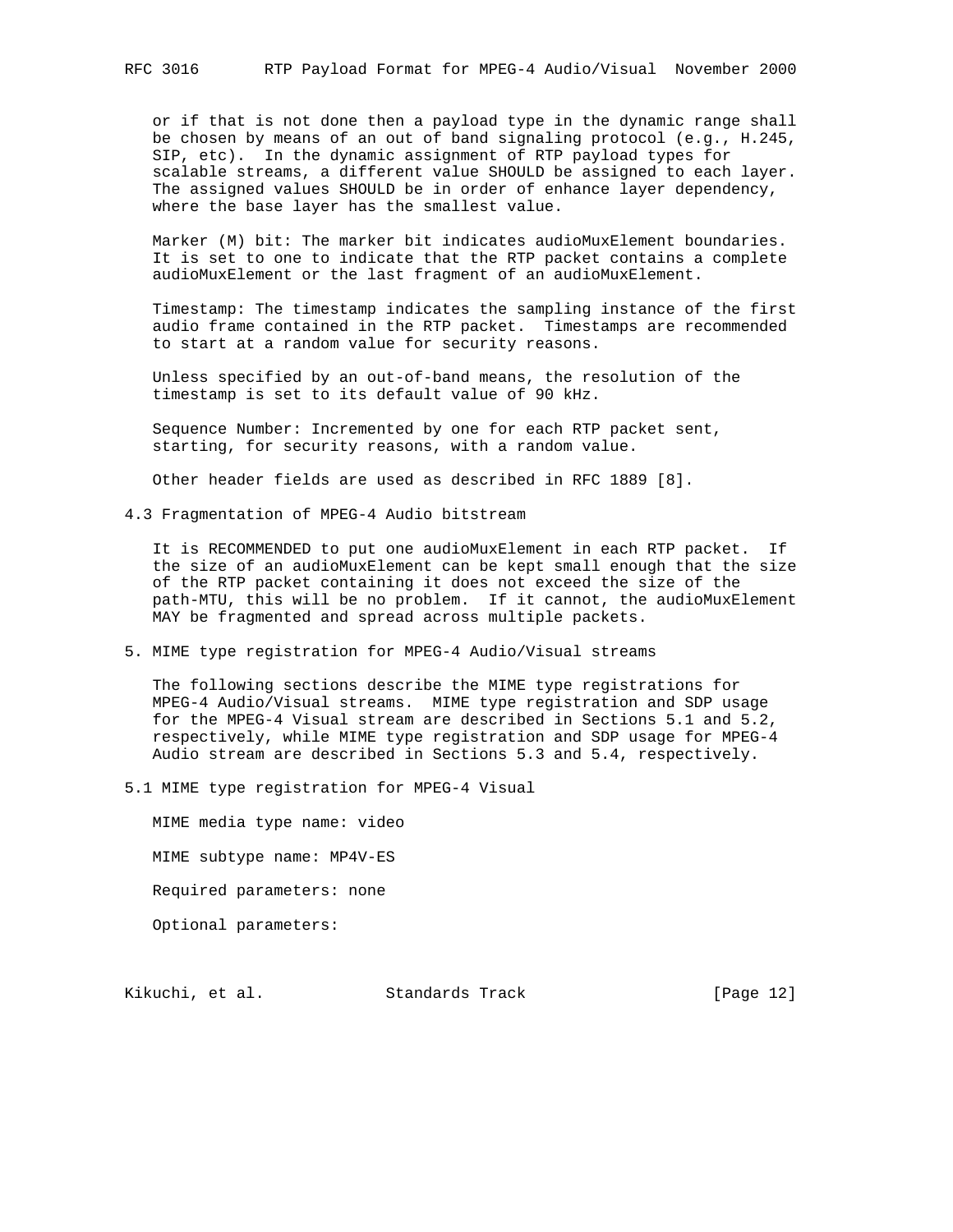or if that is not done then a payload type in the dynamic range shall be chosen by means of an out of band signaling protocol (e.g., H.245, SIP, etc). In the dynamic assignment of RTP payload types for scalable streams, a different value SHOULD be assigned to each layer. The assigned values SHOULD be in order of enhance layer dependency, where the base layer has the smallest value.

 Marker (M) bit: The marker bit indicates audioMuxElement boundaries. It is set to one to indicate that the RTP packet contains a complete audioMuxElement or the last fragment of an audioMuxElement.

 Timestamp: The timestamp indicates the sampling instance of the first audio frame contained in the RTP packet. Timestamps are recommended to start at a random value for security reasons.

 Unless specified by an out-of-band means, the resolution of the timestamp is set to its default value of 90 kHz.

 Sequence Number: Incremented by one for each RTP packet sent, starting, for security reasons, with a random value.

Other header fields are used as described in RFC 1889 [8].

4.3 Fragmentation of MPEG-4 Audio bitstream

 It is RECOMMENDED to put one audioMuxElement in each RTP packet. If the size of an audioMuxElement can be kept small enough that the size of the RTP packet containing it does not exceed the size of the path-MTU, this will be no problem. If it cannot, the audioMuxElement MAY be fragmented and spread across multiple packets.

5. MIME type registration for MPEG-4 Audio/Visual streams

 The following sections describe the MIME type registrations for MPEG-4 Audio/Visual streams. MIME type registration and SDP usage for the MPEG-4 Visual stream are described in Sections 5.1 and 5.2, respectively, while MIME type registration and SDP usage for MPEG-4 Audio stream are described in Sections 5.3 and 5.4, respectively.

5.1 MIME type registration for MPEG-4 Visual

 MIME media type name: video MIME subtype name: MP4V-ES Required parameters: none Optional parameters:

Kikuchi, et al. Standards Track [Page 12]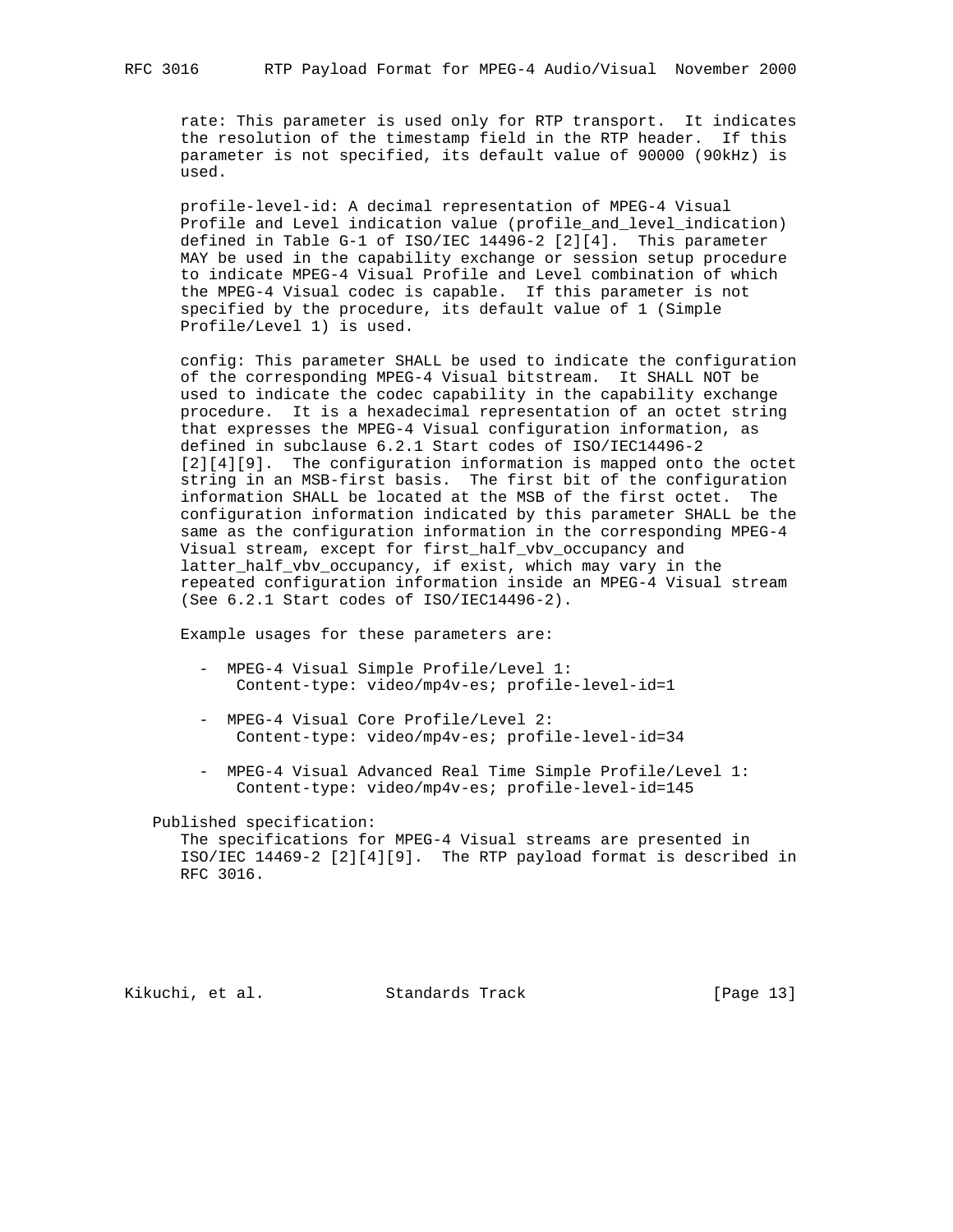rate: This parameter is used only for RTP transport. It indicates the resolution of the timestamp field in the RTP header. If this parameter is not specified, its default value of 90000 (90kHz) is used.

 profile-level-id: A decimal representation of MPEG-4 Visual Profile and Level indication value (profile\_and\_level\_indication) defined in Table G-1 of ISO/IEC 14496-2 [2][4]. This parameter MAY be used in the capability exchange or session setup procedure to indicate MPEG-4 Visual Profile and Level combination of which the MPEG-4 Visual codec is capable. If this parameter is not specified by the procedure, its default value of 1 (Simple Profile/Level 1) is used.

 config: This parameter SHALL be used to indicate the configuration of the corresponding MPEG-4 Visual bitstream. It SHALL NOT be used to indicate the codec capability in the capability exchange procedure. It is a hexadecimal representation of an octet string that expresses the MPEG-4 Visual configuration information, as defined in subclause 6.2.1 Start codes of ISO/IEC14496-2 [2][4][9]. The configuration information is mapped onto the octet string in an MSB-first basis. The first bit of the configuration information SHALL be located at the MSB of the first octet. The configuration information indicated by this parameter SHALL be the same as the configuration information in the corresponding MPEG-4 Visual stream, except for first\_half\_vbv\_occupancy and latter\_half\_vbv\_occupancy, if exist, which may vary in the repeated configuration information inside an MPEG-4 Visual stream (See 6.2.1 Start codes of ISO/IEC14496-2).

Example usages for these parameters are:

- MPEG-4 Visual Simple Profile/Level 1: Content-type: video/mp4v-es; profile-level-id=1
- MPEG-4 Visual Core Profile/Level 2: Content-type: video/mp4v-es; profile-level-id=34
- MPEG-4 Visual Advanced Real Time Simple Profile/Level 1: Content-type: video/mp4v-es; profile-level-id=145

Published specification:

 The specifications for MPEG-4 Visual streams are presented in ISO/IEC 14469-2 [2][4][9]. The RTP payload format is described in RFC 3016.

Kikuchi, et al. Standards Track [Page 13]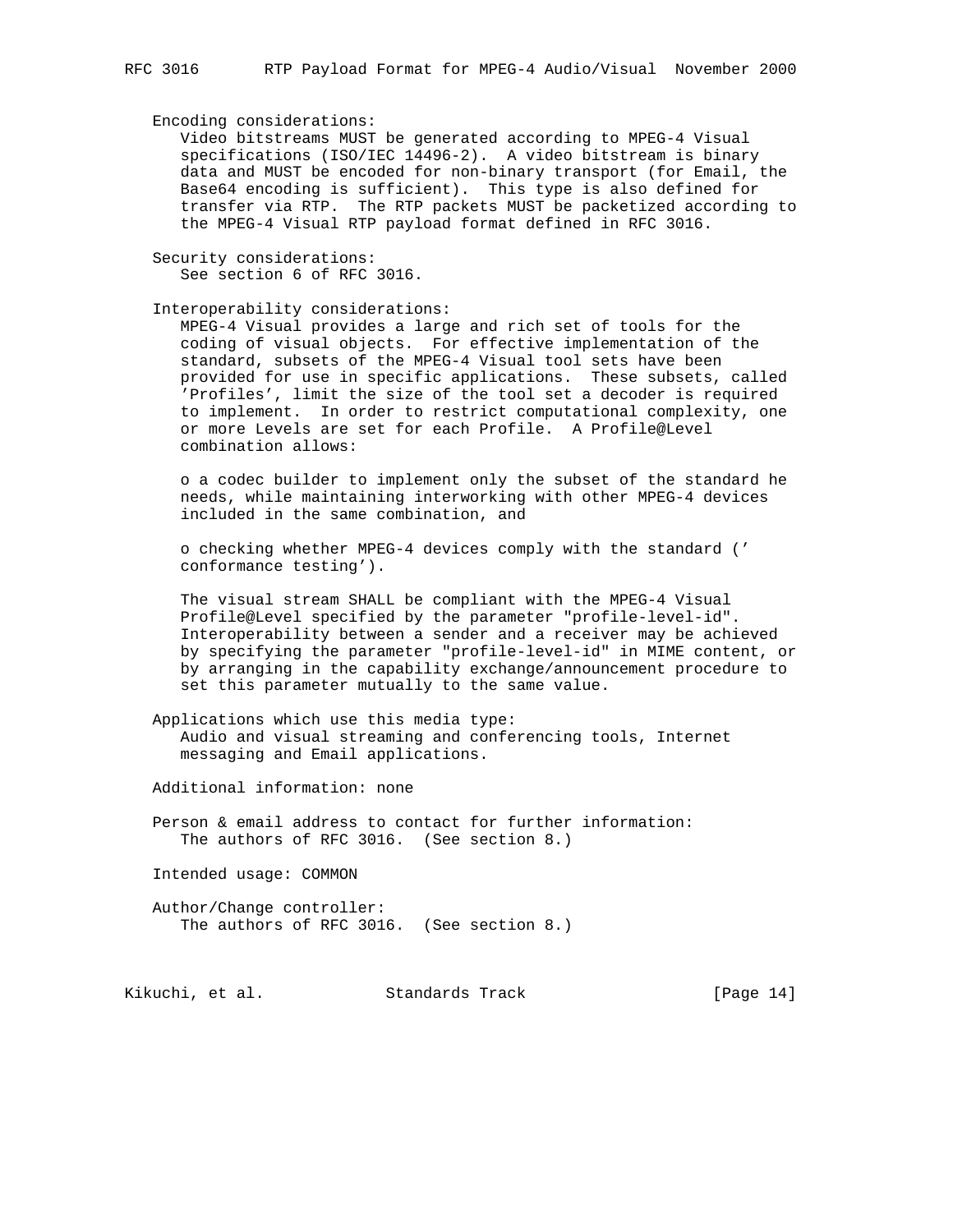#### Encoding considerations:

 Video bitstreams MUST be generated according to MPEG-4 Visual specifications (ISO/IEC 14496-2). A video bitstream is binary data and MUST be encoded for non-binary transport (for Email, the Base64 encoding is sufficient). This type is also defined for transfer via RTP. The RTP packets MUST be packetized according to the MPEG-4 Visual RTP payload format defined in RFC 3016.

 Security considerations: See section 6 of RFC 3016.

Interoperability considerations:

 MPEG-4 Visual provides a large and rich set of tools for the coding of visual objects. For effective implementation of the standard, subsets of the MPEG-4 Visual tool sets have been provided for use in specific applications. These subsets, called 'Profiles', limit the size of the tool set a decoder is required to implement. In order to restrict computational complexity, one or more Levels are set for each Profile. A Profile@Level combination allows:

 o a codec builder to implement only the subset of the standard he needs, while maintaining interworking with other MPEG-4 devices included in the same combination, and

 o checking whether MPEG-4 devices comply with the standard (' conformance testing').

 The visual stream SHALL be compliant with the MPEG-4 Visual Profile@Level specified by the parameter "profile-level-id". Interoperability between a sender and a receiver may be achieved by specifying the parameter "profile-level-id" in MIME content, or by arranging in the capability exchange/announcement procedure to set this parameter mutually to the same value.

 Applications which use this media type: Audio and visual streaming and conferencing tools, Internet messaging and Email applications.

Additional information: none

 Person & email address to contact for further information: The authors of RFC 3016. (See section 8.)

Intended usage: COMMON

 Author/Change controller: The authors of RFC 3016. (See section 8.)

Kikuchi, et al. Standards Track [Page 14]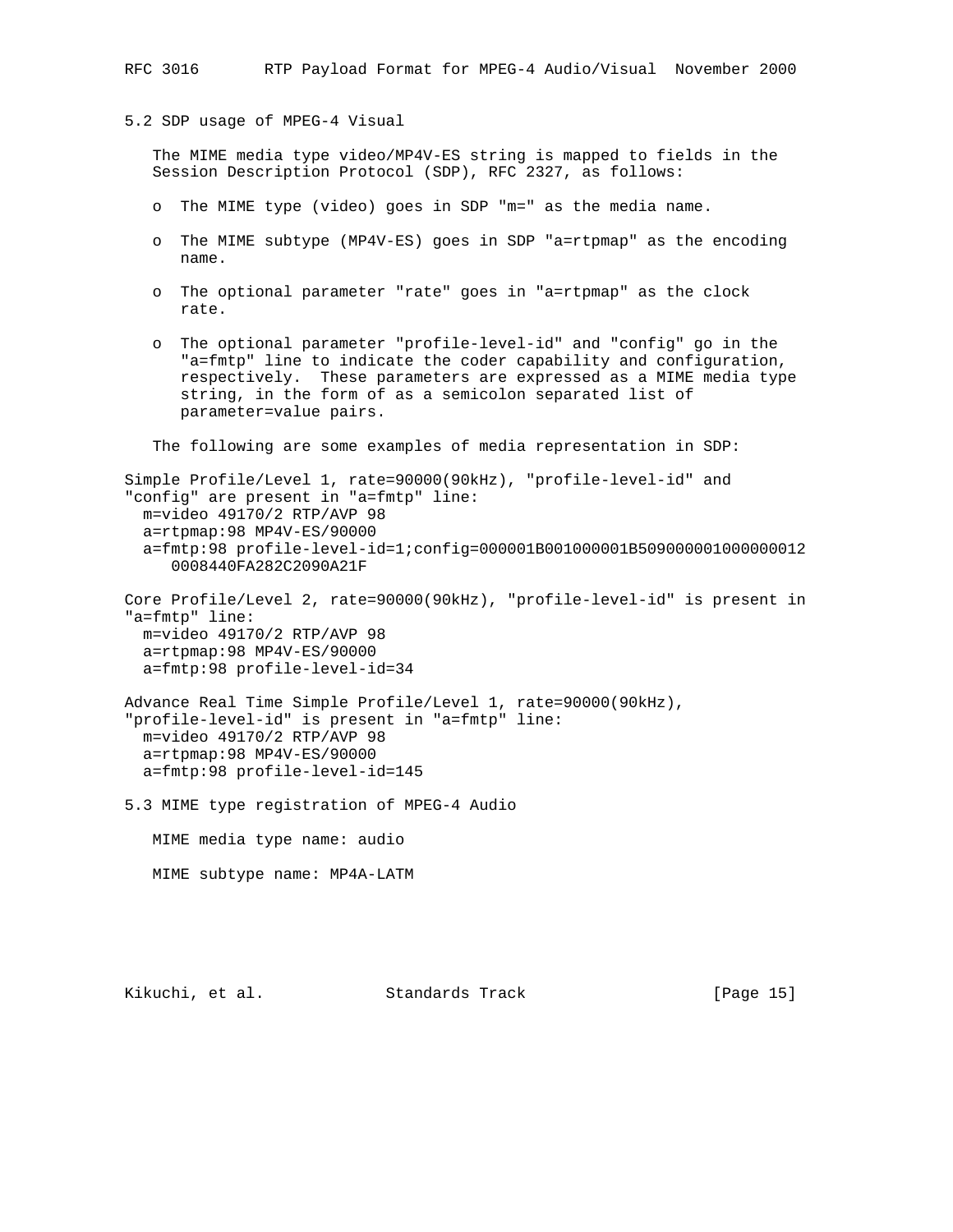5.2 SDP usage of MPEG-4 Visual

 The MIME media type video/MP4V-ES string is mapped to fields in the Session Description Protocol (SDP), RFC 2327, as follows:

- o The MIME type (video) goes in SDP "m=" as the media name.
- o The MIME subtype (MP4V-ES) goes in SDP "a=rtpmap" as the encoding name.
- o The optional parameter "rate" goes in "a=rtpmap" as the clock rate.
- o The optional parameter "profile-level-id" and "config" go in the "a=fmtp" line to indicate the coder capability and configuration, respectively. These parameters are expressed as a MIME media type string, in the form of as a semicolon separated list of parameter=value pairs.

The following are some examples of media representation in SDP:

Simple Profile/Level 1, rate=90000(90kHz), "profile-level-id" and "config" are present in "a=fmtp" line: m=video 49170/2 RTP/AVP 98 a=rtpmap:98 MP4V-ES/90000 a=fmtp:98 profile-level-id=1;config=000001B001000001B509000001000000012 0008440FA282C2090A21F Core Profile/Level 2, rate=90000(90kHz), "profile-level-id" is present in "a=fmtp" line: m=video 49170/2 RTP/AVP 98 a=rtpmap:98 MP4V-ES/90000 a=fmtp:98 profile-level-id=34 Advance Real Time Simple Profile/Level 1, rate=90000(90kHz),

"profile-level-id" is present in "a=fmtp" line: m=video 49170/2 RTP/AVP 98 a=rtpmap:98 MP4V-ES/90000 a=fmtp:98 profile-level-id=145

5.3 MIME type registration of MPEG-4 Audio

MIME media type name: audio

MIME subtype name: MP4A-LATM

Kikuchi, et al. Standards Track [Page 15]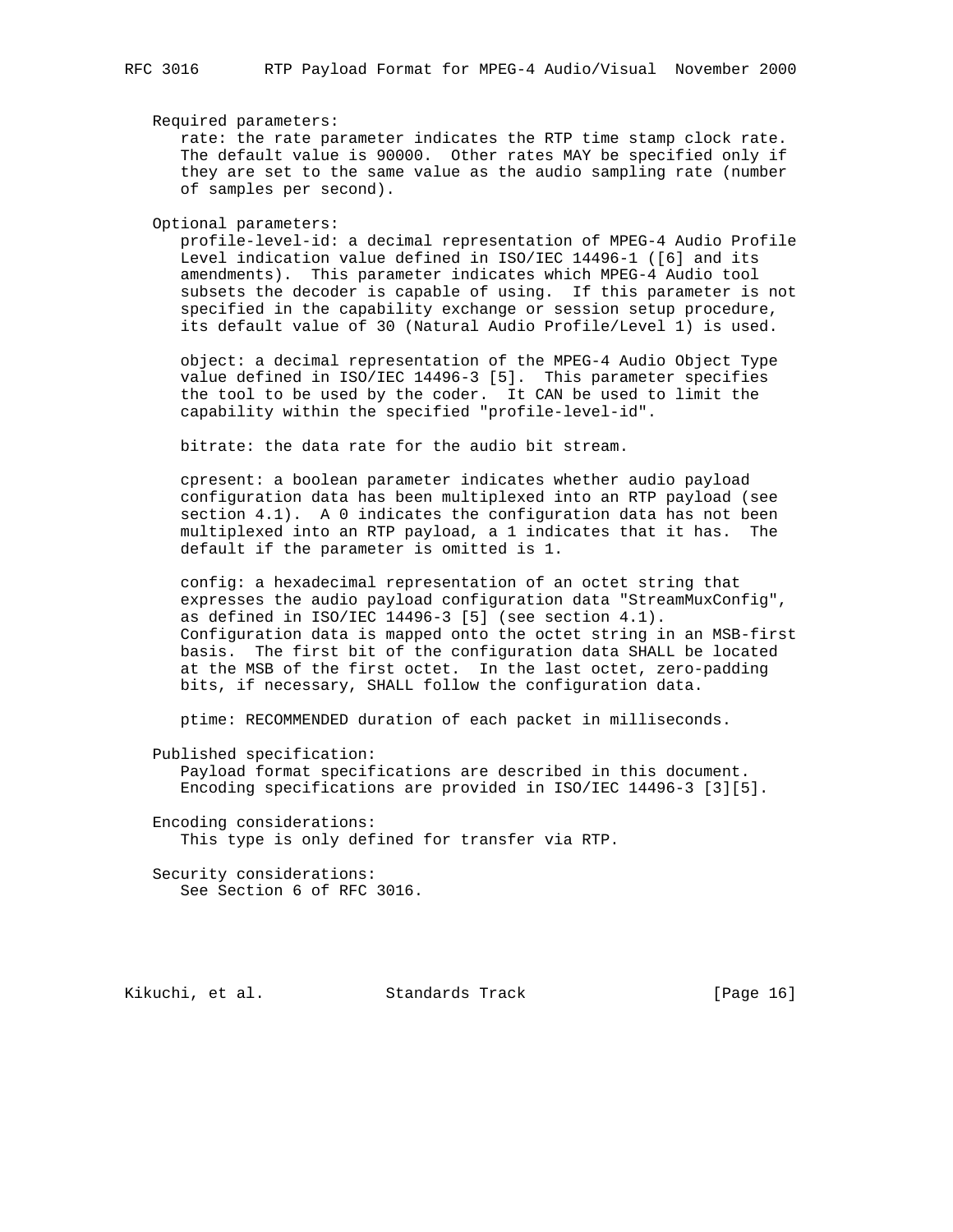Required parameters:

 rate: the rate parameter indicates the RTP time stamp clock rate. The default value is 90000. Other rates MAY be specified only if they are set to the same value as the audio sampling rate (number of samples per second).

Optional parameters:

 profile-level-id: a decimal representation of MPEG-4 Audio Profile Level indication value defined in ISO/IEC 14496-1 ([6] and its amendments). This parameter indicates which MPEG-4 Audio tool subsets the decoder is capable of using. If this parameter is not specified in the capability exchange or session setup procedure, its default value of 30 (Natural Audio Profile/Level 1) is used.

 object: a decimal representation of the MPEG-4 Audio Object Type value defined in ISO/IEC 14496-3 [5]. This parameter specifies the tool to be used by the coder. It CAN be used to limit the capability within the specified "profile-level-id".

bitrate: the data rate for the audio bit stream.

 cpresent: a boolean parameter indicates whether audio payload configuration data has been multiplexed into an RTP payload (see section 4.1). A 0 indicates the configuration data has not been multiplexed into an RTP payload, a 1 indicates that it has. The default if the parameter is omitted is 1.

 config: a hexadecimal representation of an octet string that expresses the audio payload configuration data "StreamMuxConfig", as defined in ISO/IEC 14496-3 [5] (see section 4.1). Configuration data is mapped onto the octet string in an MSB-first basis. The first bit of the configuration data SHALL be located at the MSB of the first octet. In the last octet, zero-padding bits, if necessary, SHALL follow the configuration data.

ptime: RECOMMENDED duration of each packet in milliseconds.

Published specification:

 Payload format specifications are described in this document. Encoding specifications are provided in ISO/IEC 14496-3 [3][5].

 Encoding considerations: This type is only defined for transfer via RTP.

 Security considerations: See Section 6 of RFC 3016.

Kikuchi, et al. Standards Track [Page 16]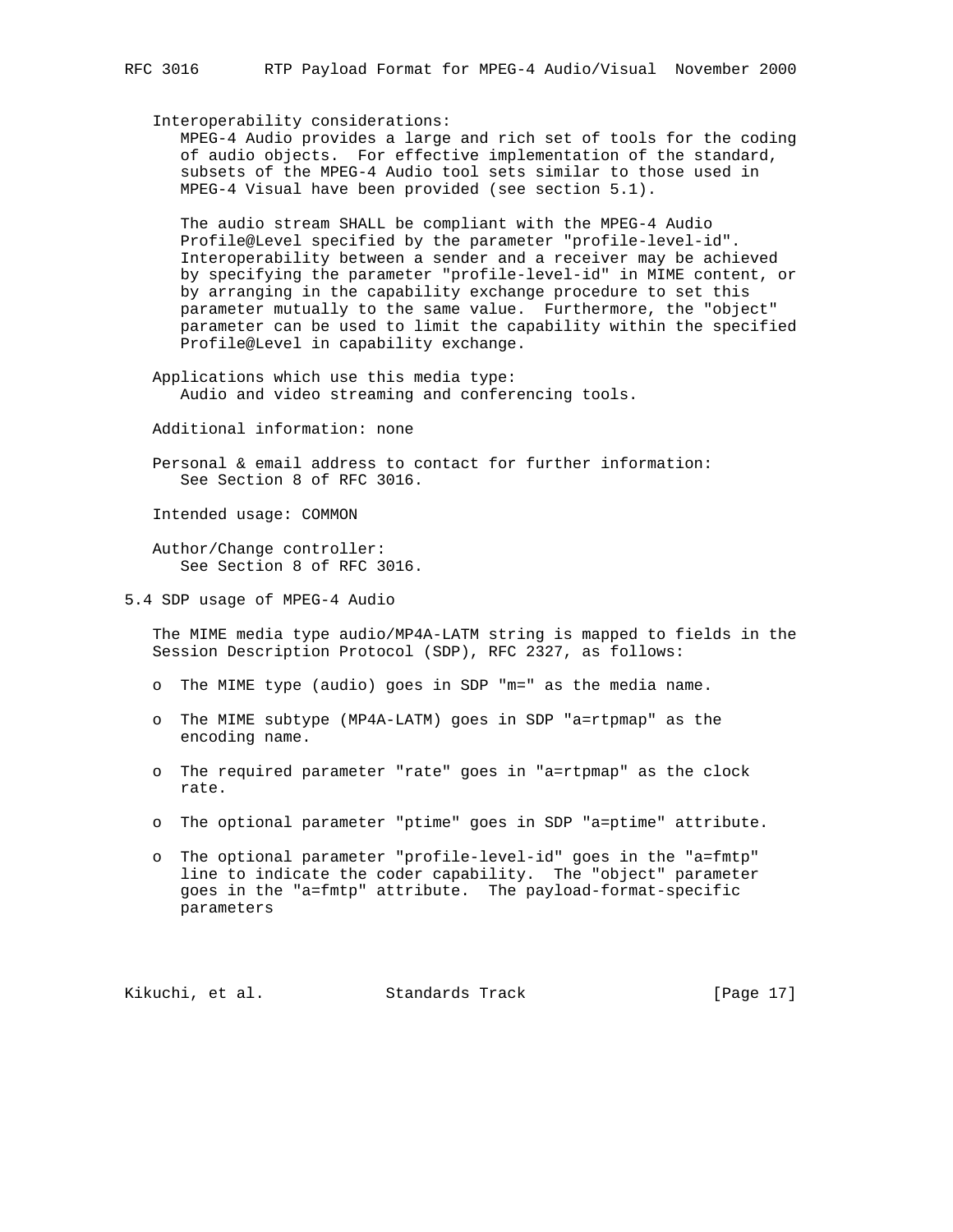Interoperability considerations:

 MPEG-4 Audio provides a large and rich set of tools for the coding of audio objects. For effective implementation of the standard, subsets of the MPEG-4 Audio tool sets similar to those used in MPEG-4 Visual have been provided (see section 5.1).

 The audio stream SHALL be compliant with the MPEG-4 Audio Profile@Level specified by the parameter "profile-level-id". Interoperability between a sender and a receiver may be achieved by specifying the parameter "profile-level-id" in MIME content, or by arranging in the capability exchange procedure to set this parameter mutually to the same value. Furthermore, the "object" parameter can be used to limit the capability within the specified Profile@Level in capability exchange.

 Applications which use this media type: Audio and video streaming and conferencing tools.

Additional information: none

 Personal & email address to contact for further information: See Section 8 of RFC 3016.

Intended usage: COMMON

 Author/Change controller: See Section 8 of RFC 3016.

5.4 SDP usage of MPEG-4 Audio

 The MIME media type audio/MP4A-LATM string is mapped to fields in the Session Description Protocol (SDP), RFC 2327, as follows:

o The MIME type (audio) goes in SDP "m=" as the media name.

- o The MIME subtype (MP4A-LATM) goes in SDP "a=rtpmap" as the encoding name.
- o The required parameter "rate" goes in "a=rtpmap" as the clock rate.
- o The optional parameter "ptime" goes in SDP "a=ptime" attribute.
- o The optional parameter "profile-level-id" goes in the "a=fmtp" line to indicate the coder capability. The "object" parameter goes in the "a=fmtp" attribute. The payload-format-specific parameters

Kikuchi, et al. Standards Track [Page 17]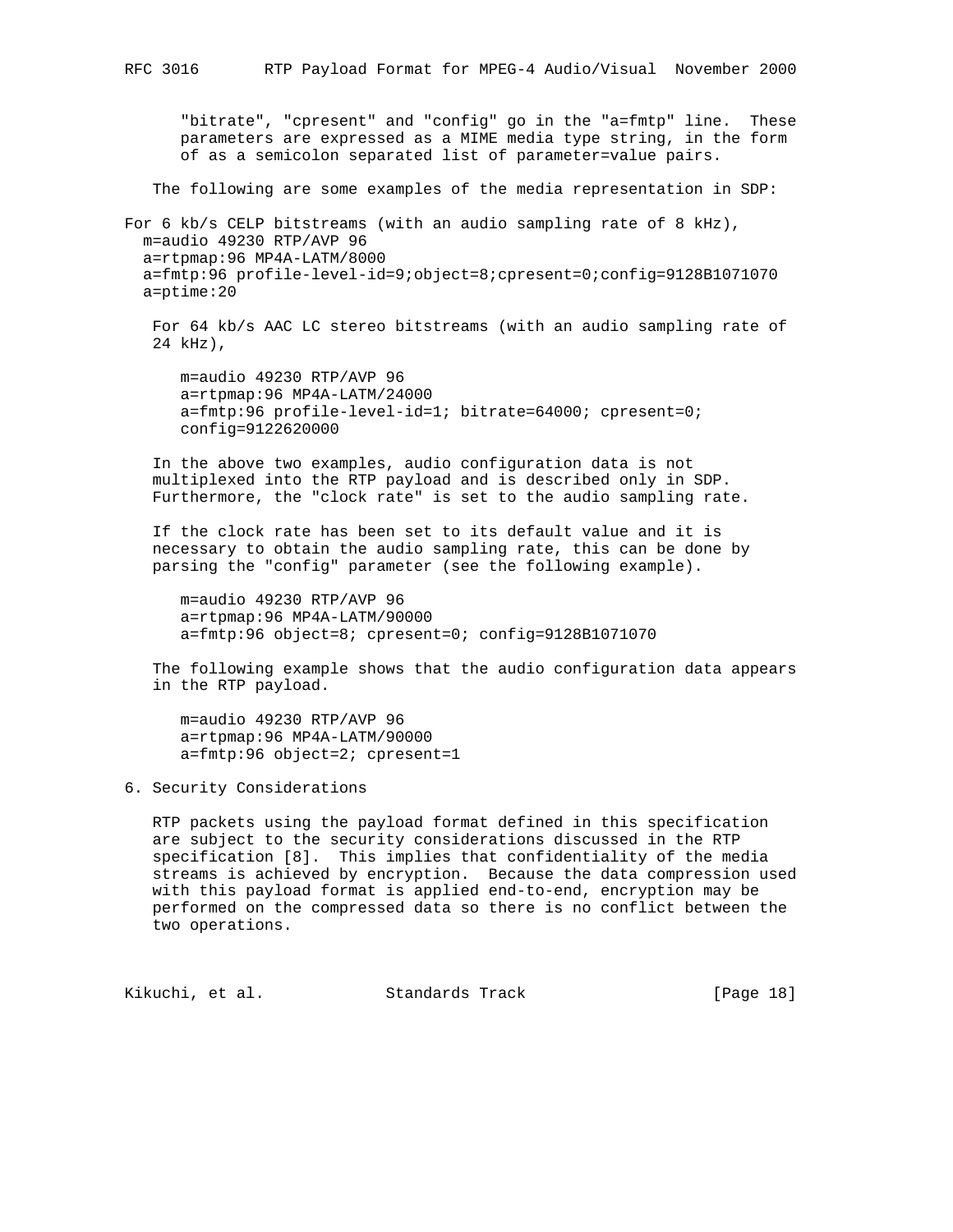"bitrate", "cpresent" and "config" go in the "a=fmtp" line. These parameters are expressed as a MIME media type string, in the form of as a semicolon separated list of parameter=value pairs.

The following are some examples of the media representation in SDP:

For 6 kb/s CELP bitstreams (with an audio sampling rate of 8 kHz), m=audio 49230 RTP/AVP 96 a=rtpmap:96 MP4A-LATM/8000 a=fmtp:96 profile-level-id=9;object=8;cpresent=0;config=9128B1071070 a=ptime:20

 For 64 kb/s AAC LC stereo bitstreams (with an audio sampling rate of 24 kHz),

 m=audio 49230 RTP/AVP 96 a=rtpmap:96 MP4A-LATM/24000 a=fmtp:96 profile-level-id=1; bitrate=64000; cpresent=0; config=9122620000

 In the above two examples, audio configuration data is not multiplexed into the RTP payload and is described only in SDP. Furthermore, the "clock rate" is set to the audio sampling rate.

 If the clock rate has been set to its default value and it is necessary to obtain the audio sampling rate, this can be done by parsing the "config" parameter (see the following example).

 m=audio 49230 RTP/AVP 96 a=rtpmap:96 MP4A-LATM/90000 a=fmtp:96 object=8; cpresent=0; config=9128B1071070

 The following example shows that the audio configuration data appears in the RTP payload.

 m=audio 49230 RTP/AVP 96 a=rtpmap:96 MP4A-LATM/90000 a=fmtp:96 object=2; cpresent=1

# 6. Security Considerations

 RTP packets using the payload format defined in this specification are subject to the security considerations discussed in the RTP specification [8]. This implies that confidentiality of the media streams is achieved by encryption. Because the data compression used with this payload format is applied end-to-end, encryption may be performed on the compressed data so there is no conflict between the two operations.

Kikuchi, et al. Standards Track [Page 18]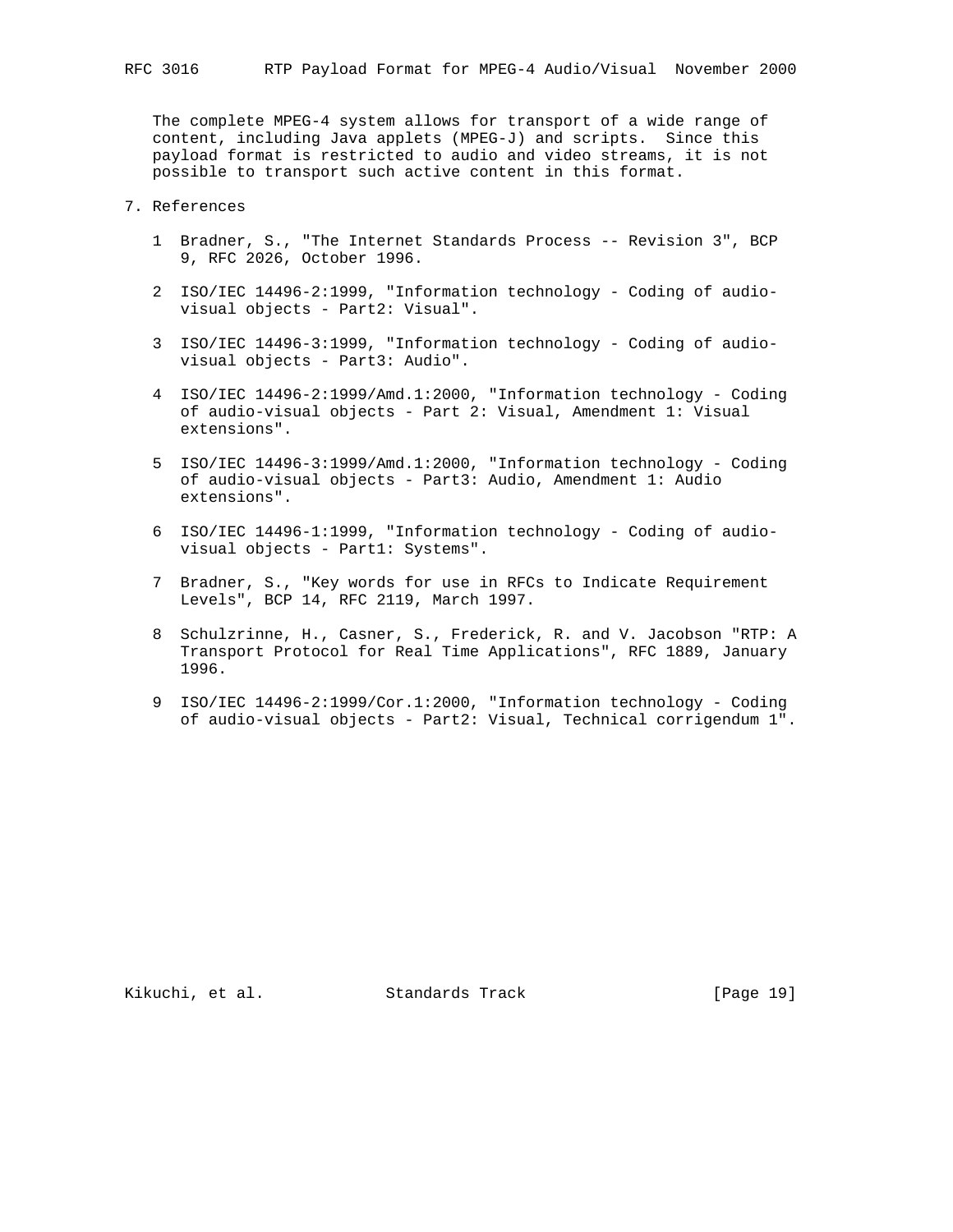The complete MPEG-4 system allows for transport of a wide range of content, including Java applets (MPEG-J) and scripts. Since this payload format is restricted to audio and video streams, it is not possible to transport such active content in this format.

# 7. References

- 1 Bradner, S., "The Internet Standards Process -- Revision 3", BCP 9, RFC 2026, October 1996.
- 2 ISO/IEC 14496-2:1999, "Information technology Coding of audio visual objects - Part2: Visual".
- 3 ISO/IEC 14496-3:1999, "Information technology Coding of audio visual objects - Part3: Audio".
- 4 ISO/IEC 14496-2:1999/Amd.1:2000, "Information technology Coding of audio-visual objects - Part 2: Visual, Amendment 1: Visual extensions".
- 5 ISO/IEC 14496-3:1999/Amd.1:2000, "Information technology Coding of audio-visual objects - Part3: Audio, Amendment 1: Audio extensions".
- 6 ISO/IEC 14496-1:1999, "Information technology Coding of audio visual objects - Part1: Systems".
- 7 Bradner, S., "Key words for use in RFCs to Indicate Requirement Levels", BCP 14, RFC 2119, March 1997.
- 8 Schulzrinne, H., Casner, S., Frederick, R. and V. Jacobson "RTP: A Transport Protocol for Real Time Applications", RFC 1889, January 1996.
- 9 ISO/IEC 14496-2:1999/Cor.1:2000, "Information technology Coding of audio-visual objects - Part2: Visual, Technical corrigendum 1".

Kikuchi, et al. Standards Track [Page 19]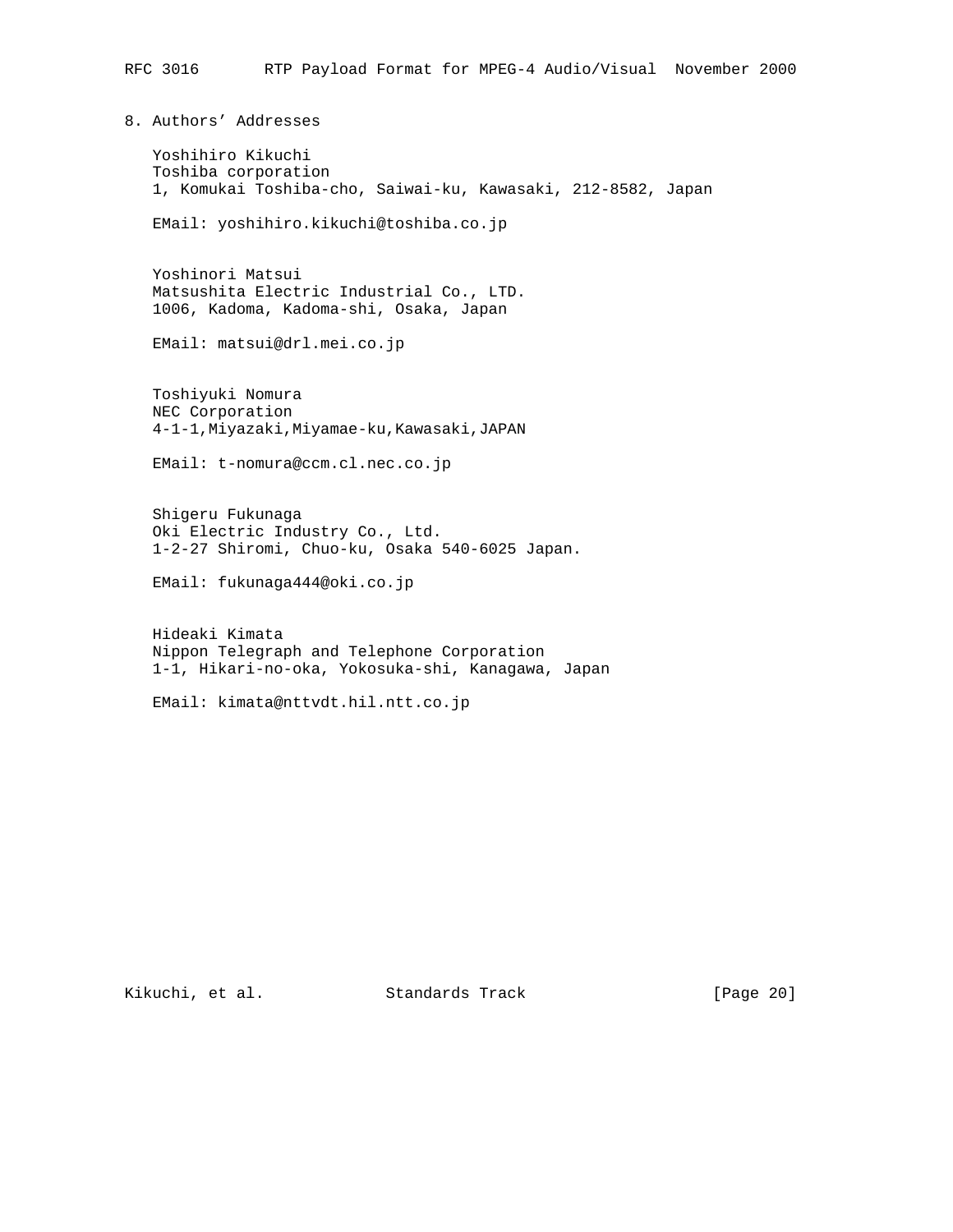8. Authors' Addresses

 Yoshihiro Kikuchi Toshiba corporation 1, Komukai Toshiba-cho, Saiwai-ku, Kawasaki, 212-8582, Japan

EMail: yoshihiro.kikuchi@toshiba.co.jp

 Yoshinori Matsui Matsushita Electric Industrial Co., LTD. 1006, Kadoma, Kadoma-shi, Osaka, Japan

EMail: matsui@drl.mei.co.jp

 Toshiyuki Nomura NEC Corporation 4-1-1,Miyazaki,Miyamae-ku,Kawasaki,JAPAN

EMail: t-nomura@ccm.cl.nec.co.jp

 Shigeru Fukunaga Oki Electric Industry Co., Ltd. 1-2-27 Shiromi, Chuo-ku, Osaka 540-6025 Japan.

EMail: fukunaga444@oki.co.jp

 Hideaki Kimata Nippon Telegraph and Telephone Corporation 1-1, Hikari-no-oka, Yokosuka-shi, Kanagawa, Japan

EMail: kimata@nttvdt.hil.ntt.co.jp

Kikuchi, et al. Standards Track [Page 20]